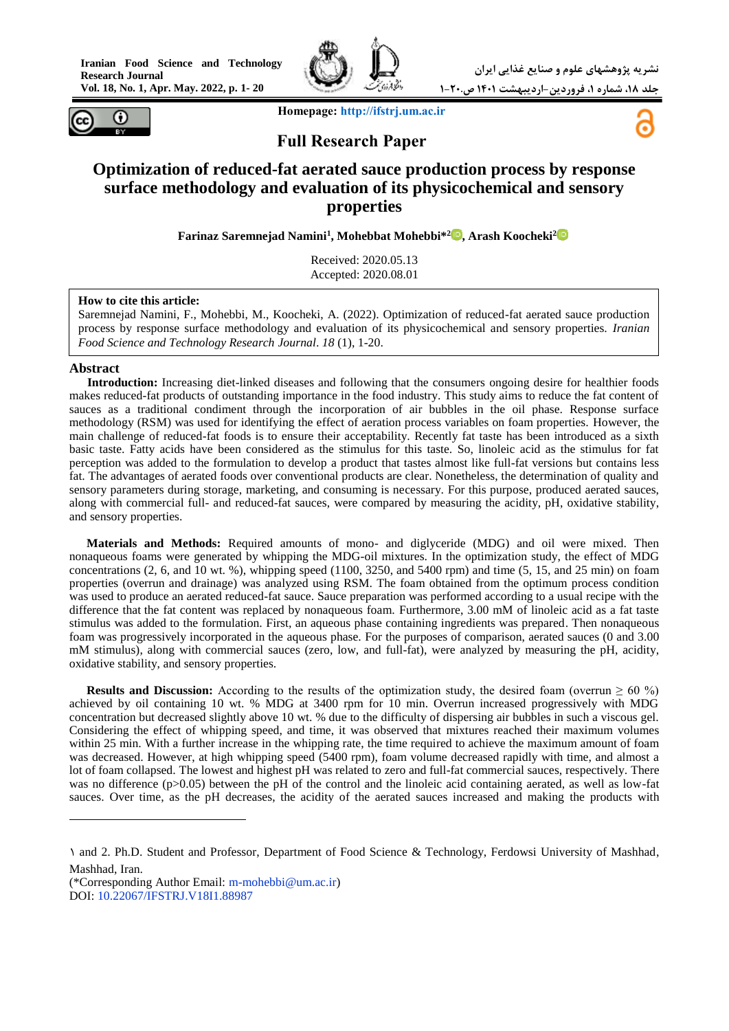**Vol. 18, No. 1, Apr. May. 2022, p. 1- 20**





 **Homepage: [http://ifstrj.um.ac.ir](http://ifstrj.um.ac.ir/)**

# **Full Research Paper**

## **Optimization of reduced-fat aerated sauce production process by response surface methodology and evaluation of its physicochemical and sensory properties**

**Farinaz Saremnejad Namini<sup>1</sup> , Mohebbat Mohebbi\*<sup>2</sup> [,](https://orcid.org/0000-0002-3475-3049) Arash Koocheki<sup>2</sup>**

Received: 2020.05.13 Accepted: 2020.08.01

#### **How to cite this article:**

Saremnejad Namini, F., Mohebbi, M., Koocheki, A. (2022). Optimization of reduced-fat aerated sauce production process by response surface methodology and evaluation of its physicochemical and sensory properties. *Iranian Food Science and Technology Research Journal*. *18* (1), 1-20.

### **Abstract**

 $\overline{a}$ 

**<sup>1</sup>Introduction:** Increasing diet-linked diseases and following that the consumers ongoing desire for healthier foods makes reduced-fat products of outstanding importance in the food industry. This study aims to reduce the fat content of sauces as a traditional condiment through the incorporation of air bubbles in the oil phase. Response surface methodology (RSM) was used for identifying the effect of aeration process variables on foam properties. However, the main challenge of reduced-fat foods is to ensure their acceptability. Recently fat taste has been introduced as a sixth basic taste. Fatty acids have been considered as the stimulus for this taste. So, linoleic acid as the stimulus for fat perception was added to the formulation to develop a product that tastes almost like full-fat versions but contains less fat. The advantages of aerated foods over conventional products are clear. Nonetheless, the determination of quality and sensory parameters during storage, marketing, and consuming is necessary. For this purpose, produced aerated sauces, along with commercial full- and reduced-fat sauces, were compared by measuring the acidity, pH, oxidative stability, and sensory properties.

**Materials and Methods:** Required amounts of mono- and diglyceride (MDG) and oil were mixed. Then nonaqueous foams were generated by whipping the MDG-oil mixtures. In the optimization study, the effect of MDG concentrations  $(2, 6, \text{ and } 10 \text{ wt. } %),$  whipping speed  $(1100, 3250, \text{ and } 5400 \text{ rpm})$  and time  $(5, 15, \text{ and } 25 \text{ min})$  on foam properties (overrun and drainage) was analyzed using RSM. The foam obtained from the optimum process condition was used to produce an aerated reduced-fat sauce. Sauce preparation was performed according to a usual recipe with the difference that the fat content was replaced by nonaqueous foam. Furthermore, 3.00 mM of linoleic acid as a fat taste stimulus was added to the formulation. First, an aqueous phase containing ingredients was prepared. Then nonaqueous foam was progressively incorporated in the aqueous phase. For the purposes of comparison, aerated sauces (0 and 3.00 mM stimulus), along with commercial sauces (zero, low, and full-fat), were analyzed by measuring the pH, acidity, oxidative stability, and sensory properties.

**Results and Discussion:** According to the results of the optimization study, the desired foam (overrun  $\geq 60\%$ ) achieved by oil containing 10 wt. % MDG at 3400 rpm for 10 min. Overrun increased progressively with MDG concentration but decreased slightly above 10 wt. % due to the difficulty of dispersing air bubbles in such a viscous gel. Considering the effect of whipping speed, and time, it was observed that mixtures reached their maximum volumes within 25 min. With a further increase in the whipping rate, the time required to achieve the maximum amount of foam was decreased. However, at high whipping speed (5400 rpm), foam volume decreased rapidly with time, and almost a lot of foam collapsed. The lowest and highest pH was related to zero and full-fat commercial sauces, respectively. There was no difference (p>0.05) between the pH of the control and the linoleic acid containing aerated, as well as low-fat sauces. Over time, as the pH decreases, the acidity of the aerated sauces increased and making the products with

<sup>1</sup> and 2. Ph.D. Student and Professor, Department of Food Science & Technology, Ferdowsi University of Mashhad, Mashhad, Iran.

<sup>(\*</sup>Corresponding Author Email: [m-mohebbi@um.ac.ir\)](mailto:M-MOHEBBI@UM.AC.IR) DOI:<10.22067/IFSTRJ.V18I1.88987>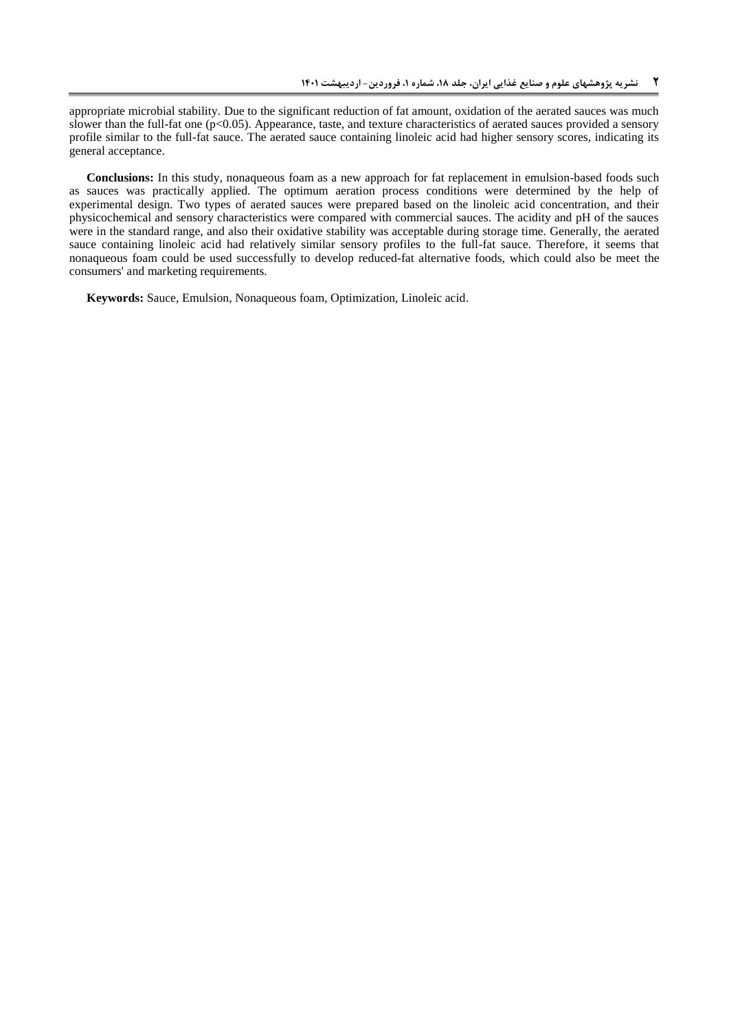appropriate microbial stability. Due to the significant reduction of fat amount, oxidation of the aerated sauces was much slower than the full-fat one (p<0.05). Appearance, taste, and texture characteristics of aerated sauces provided a sensory profile similar to the full-fat sauce. The aerated sauce containing linoleic acid had higher sensory scores, indicating its general acceptance.

**Conclusions:** In this study, nonaqueous foam as a new approach for fat replacement in emulsion-based foods such as sauces was practically applied. The optimum aeration process conditions were determined by the help of experimental design. Two types of aerated sauces were prepared based on the linoleic acid concentration, and their physicochemical and sensory characteristics were compared with commercial sauces. The acidity and pH of the sauces were in the standard range, and also their oxidative stability was acceptable during storage time. Generally, the aerated sauce containing linoleic acid had relatively similar sensory profiles to the full-fat sauce. Therefore, it seems that nonaqueous foam could be used successfully to develop reduced-fat alternative foods, which could also be meet the consumers' and marketing requirements.

**Keywords:** Sauce, Emulsion, Nonaqueous foam, Optimization, Linoleic acid.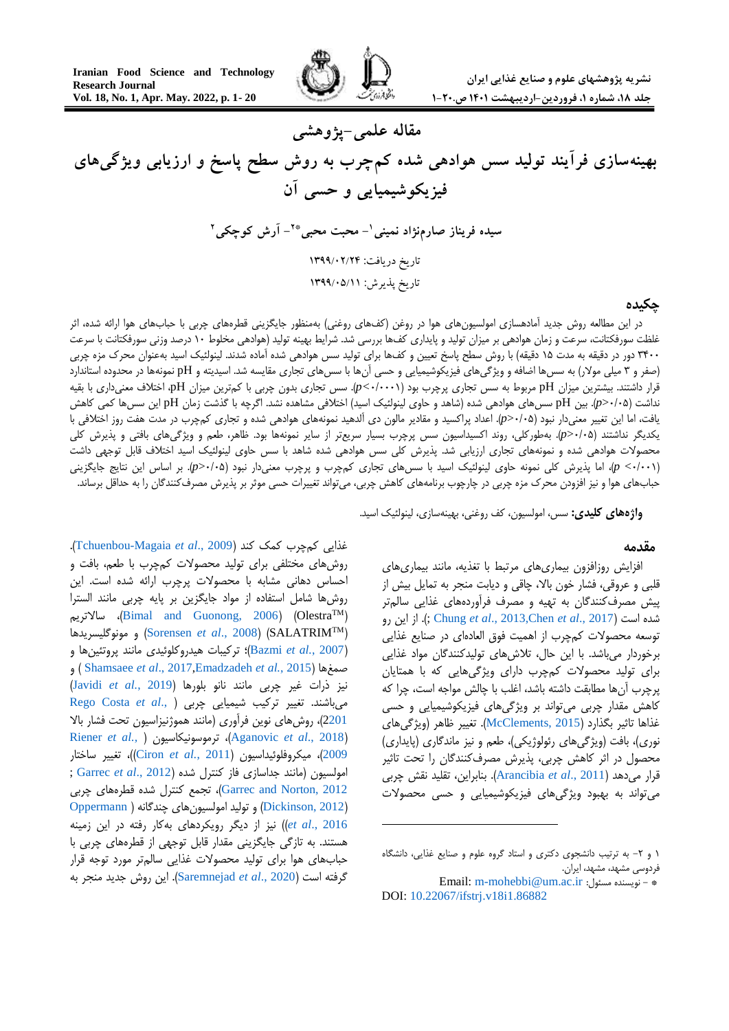

**مقاله علمی-پژوهشی بهینهسازی فرآیند تولید سس هوادهی شده کمچرب به روش سطح پاسخ و ارزیابی ویژگیهای فیزیکوشیمیایی و حسی آن - محبت محبی <sup>1</sup> سیده فریناز صارمنژاد نمینی - آرش کوچکی \*2 2** تاریخ دریافت: 9911/24/42 تاریخ پذیرش: 9911/20/99

### **چکیده**

در این مطالعه روش جدید آمادهسازی امولسیونهای هوا در روغن (کفهای روغنی) بهمنظور جایگزینی قطرههای چربی با حبابهای هوا ارائه شده، اثر غلظت سورفکتانت، سرعت و زمان هوادهی بر میزان تولید و پایداری کفها بررسی شد. شرایط بهینه تولید )هوادهی مخلوط 11 درصد وزنی سورفکتانت با سرعت ۴۴۰۰ دور در دقیقه به مدت ۱۵ دقیقه) با روش سطح پاسخ تعیین و کفها برای تولید سس هوادهی شده آماده شدند. لینولئیک اسید بهعنوان محرک مزه چربی )صفر و 0 میلی موالر( به سسها اضافه و ویژگیهای فیزیکوشیمیایی و حسی آنها با سسهای تجاری مقایسه شد. اسیدیته و pH نمونهها در محدوده استاندارد قرار داشتند. بیشترین میزان pH مربوط به سس تجاری پرچرب بود )1/1111*>p*). سس تجاری بدون چربی با کمترین میزان pH، اختالف معنیداری با بقیه نداشت )1/11<*p*). بین pH سسهای هوادهی شده )شاهد و حاوی لینولئیک اسید( اختالفی مشاهده نشد. اگرچه با گذشت زمان pH این سسها کمی کاهش یافت، اما این تغییر معنیدار نبود )1/11<*p*). اعداد پراکسید و مقادیر مالون دی آلدهید نمونههای هوادهی شده و تجاری کمچرب در مدت هفت روز اختالفی با یکدیگر نداشتند )1/11<*p*). بهطورکلی، روند اکسیداسیون سس پرچرب بسیار سریعتر از سایر نمونهها بود. ظاهر، طعم و ویژگیهای بافتی و پذیرش کلی محصوالت هوادهی شده و نمونههای تجاری ارزیابی شد. پذیرش کلی سس هوادهی شده شاهد با سس حاوی لینولئیک اسید اختالف قابل توجهی داشت )1/111> *p*)، اما پذیرش کلی نمونه حاوی لینولئیک اسید با سسهای تجاری کمچرب و پرچرب معنیدار نبود )1/11<*p*). بر اساس این نتایج جایگزینی حبابهای هوا و نیز افزودن محرک مزه چربی در چارچوب برنامههای کاهش چربی، میتواند تغییرات حسی موثر بر پذیرش مصرفکنندگان را به حداقل برساند.

1

**واژههای کلیدی:** سس، امولسیون، کف روغنی، بهینهسازی، لینولئیک اسید.

#### **مقدمه <sup>1</sup>**

افزایش روزافزون بیماریهای مرتبط با تغذیه، مانند بیماریهای قلبی و عروقی، فشار خون باال، چاقی و دیابت منجر به تمایل بیش از پیش مصرفکنندگان به تهیه و مصرف فرآوردههای غذایی سالمتر رو این از . ;(Chung *et al*[., 2013,](#page-17-1)Chen *et al*[., 2017](#page-17-0)( است شده توسعه محصوالت کمچرب از اهمیت فوق العادهای در صنایع غذایی برخوردار میباشد. با این حال، تالشهای تولیدکنندگان مواد غذایی برای تولید محصوالت کمچرب دارای ویژگیهایی که با همتایان پرچرب آنها مطابقت داشته باشد، اغلب با چالش مواجه است، چرا که کاهش مقدار چربی میتواند بر ویژگیهای فیزیکوشیمیایی و حسی غذاها تاثیر بگذارد )[2015 ,McClements](#page-18-0)). تغییر ظاهر )ویژگیهای نوری)، بافت (ویژگی های رئولوژیکی)، طعم و نیز ماندگاری (پایداری) محصول در اثر کاهش چربی، پذیرش مصرفکنندگان را تحت تاثیر قرار میدهد )2011 .,*al et* [Arancibia](#page-16-0)). بنابراین، تقلید نقش چربی میتواند به بهبود ویژگیهای فیزیکوشیمیایی و حسی محصوالت

غذایی کمچرب کمک کند )2009 .,*al et* [Magaia-Tchuenbou](#page-19-0)). روشهای مختلفی برای تولید محصوالت کمچرب با طعم، بافت و احساس دهانی مشابه با محصوالت پرچرب ارائه شده است. این روشها شامل استفاده از مواد جایگزین بر پایه چربی مانند السترا سالاتریم ([Bimal and Guonong, 2006](#page-17-2)) (Olestra<sup>TM</sup>) ( TM مونوگلیسریدها و( [Sorensen](#page-19-1) *et al*., 2008( )SALATRIM )2007 *.*,*al et* [Bazmi](#page-17-3))؛ ترکیبات هیدروکلوئیدی مانند پروتئینها و و ( [Shamsaee](#page-19-2) *et al*., 2017[,Emadzadeh](#page-17-4) *et al.*, 2015( صمغها نیز ذرات غیر چربی مانند نانو بلورها )2019 *.*,*al et* [Javidi](#page-18-1)) میباشند. تغییر ترکیب شیمیایی چربی [\)](#page-18-2) .,*al et* [Costa Rego](#page-18-2) [2201](#page-18-2))، روشهای نوین فرآوری (مانند هموژنیزاسیون تحت فشار بالا [Riener](#page-18-3) *et al.,* [\(](#page-18-3) ترموسونیکاسیون ،([Aganovic](#page-16-1) *et al*., 2018( [2009](#page-18-3)(، میکروفلوئیداسیون )2011 *.*,*al et* [Ciron](#page-17-5)))، تغییر ساختار امولسیون )مانند جداسازی فاز کنترل شده )2012 .,*al et* [Garrec](#page-17-6); [2012 ,Norton and Garrec](#page-17-7))، تجمع کنترل شده قطرههای چربی )[2012 ,Dickinson](#page-17-8) )و تولید امولسیونهای چندگانه [\)](#page-18-4) [Oppermann](#page-18-4) [2016 .,](#page-18-4)*al et* ))نیز از دیگر رویکردهای بهکار رفته در این زمینه هستند. به تازگی جایگزینی مقدار قابل توجهی از قطرههای چربی با حبابهای هوا برای تولید محصوالت غذایی سالمتر مورد توجه قرار گرفته است )2020 .,*al et* [Saremnejad](#page-18-5)). این روش جدید منجر به

<sup>1</sup> و ۲- به ترتیب دانشجوی دکتری و استاد گروه علوم و صنایع غذایی، دانشگاه فردوسی مشهد، مشهد، ایران.

Email[: m-mohebbi@um.ac.ir](mailto:M-MOHEBBI@UM.AC.IR) :مسئول نویسنده -\* DOI: [10.22067/ifstrj.v18i1.86882](https://dx.doi.org/10.22067/ifstrj.v18i1.86882)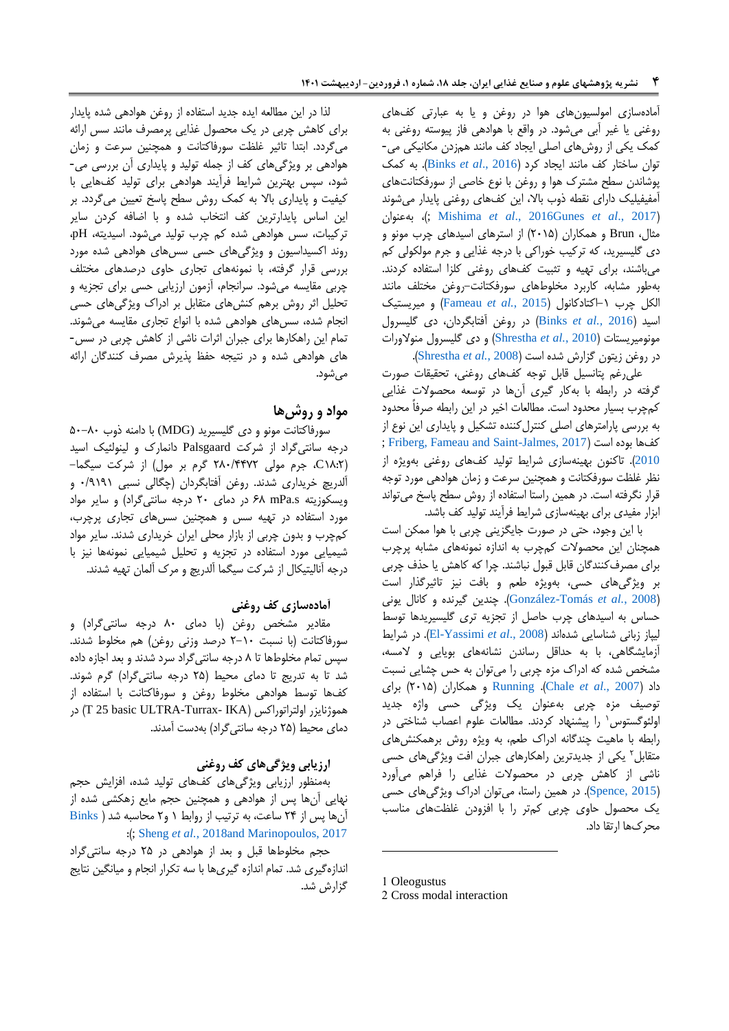آمادهسازی امولسیونهای هوا در روغن و یا به عبارتی کفهای روغنی یا غیر آبی میشود. در واقع با هوادهی فاز پیوسته روغنی به کمک یکی از روشهای اصلی ایجاد کف مانند همزدن مکانیکی می- توان ساختار کف مانند ایجاد کرد )[2016 .,](#page-17-9)*al et* Binks). به کمک پوشاندن سطح مشترک هوا و روغن با نوع خاصی از سورفکتانتهای آمفیفیلیک دارای نقطه ذوب باال، این کفهای روغنی پایدار میشوند بهعنوان ، ;([Mishima](#page-18-7) *et al*., 2016Gunes *et al*[., 2017](#page-18-6)( مثال، Brun و همکاران )2111( از استرهای اسیدهای چرب مونو و دی گلیسیرید، که ترکیب خوراکی با درجه غذایی و جرم مولکولی کم میباشند، برای تهیه و تثبیت کفهای روغنی کلزا استفاده کردند. بهطور مشابه، کاربرد مخلوطهای سورفکتانت-روغن مختلف مانند الکل چرب -1اکتادکانول )2015 *.*,*al et* [Fameau](#page-17-10) )و میریستیک اسید )2016 *.,al et* [Binks](#page-17-9) )در روغن آفتابگردان، دی گلیسرول مونومیریستات )2010 *.*,*al et* [Shrestha](#page-19-3) )و دی گلیسرول منوالورات در روغن زیتون گزارش شده است )2008 *.*,*al et* [Shrestha](#page-19-3)).

علیرغم پتانسیل قابل توجه کفهای روغنی، تحقیقات صورت گرفته در رابطه با بهکار گیری آنها در توسعه محصوالت غذایی کمچرب بسیار محدود است. مطالعات اخیر در این رابطه صرفاً محدود به بررسی پارامترهای اصلی کنترلکننده تشکیل و پایداری این نوع از ; [Friberg,](#page-19-4) [Fameau and Saint-Jalmes, 2017](#page-17-11)( است بوده کفها [2010](#page-19-4)(. تاکنون بهینهسازی شرایط تولید کفهای روغنی بهویژه از نظر غلظت سورفکتانت و همچنین سرعت و زمان هوادهی مورد توجه قرار نگرفته است. در همین راستا استفاده از روش سطح پاسخ میتواند ابزار مفیدی برای بهینهسازی شرایط فرآیند تولید کف باشد.

با این وجود، حتی در صورت جایگزینی چربی با هوا ممکن است همچنان این محصوالت کمچرب به اندازه نمونههای مشابه پرچرب برای مصرفکنندگان قابل قبول نباشند. چرا که کاهش یا حذف چربی بر ویژگیهای حسی، بهویژه طعم و بافت نیز تاثیرگذار است )2008 *.*,*al et* [Tomás-González](#page-18-8)). چندین گیرنده و کانال یونی حساس به اسیدهای چرب حاصل از تجزیه تری گلیسیریدها توسط لیپاز زبانی شناسایی شدهاند )2008 .,*al et* [Yassimi-El](#page-17-12)). در شرایط آزمایشگاهی، با به حداقل رساندن نشانههای بویایی و المسه، مشخص شده که ادراک مزه چربی را میتوان به حس چشایی نسبت داد )[2007 .,](#page-17-13)*al et* Chale). [Running](#page-18-9) و همکاران )2111( برای توصیف مزه چربی بهعنوان یک ویژگی حسی واژه جدید ُولئوگستوس ٰ را پیشنهاد کردند. مطالعات علوم اعصاب شناختی در رابطه با ماهیت چندگانه ادراک طعم، به ویژه روش برهمکنشهای متقابل<sup>۲</sup> یکی از جدیدترین راهکارهای جبران افت ویژگیهای حسی ناشی از کاهش چربی در محصوالت غذایی را فراهم میآورد )[2015 ,Spence](#page-19-5)). در همین راستا، میتوان ادراک ویژگیهای حسی یک محصول حاوی چربی کمتر را با افزودن غلظتهای مناسب محرکها ارتقا داد.

1 Oleogustus

1

لذا در این مطالعه ایده جدید استفاده از روغن هوادهی شده پایدار برای کاهش چربی در یک محصول غذایی پرمصرف مانند سس ارائه میگردد. ابتدا تاثیر غلظت سورفاکتانت و همچنین سرعت و زمان هوادهی بر ویژگیهای کف از جمله تولید و پایداری آن بررسی می- شود، سپس بهترین شرایط فرآیند هوادهی برای تولید کفهایی با کیفیت و پایداری باال به کمک روش سطح پاسخ تعیین میگردد. بر این اساس پایدارترین کف انتخاب شده و با اضافه کردن سایر ترکیبات، سس هوادهی شده کم چرب تولید میشود. اسیدیته، pH، روند اکسیداسیون و ویژگیهای حسی سسهای هوادهی شده مورد بررسی قرار گرفته، با نمونههای تجاری حاوی درصدهای مختلف چربی مقایسه میشود. سرانجام، آزمون ارزیابی حسی برای تجزیه و تحلیل اثر روش برهم کنشهای متقابل بر ادراک ویژگیهای حسی انجام شده، سسهای هوادهی شده با انواع تجاری مقایسه میشوند. تمام این راهکارها برای جبران اثرات ناشی از کاهش چربی در سس- های هوادهی شده و در نتیجه حفظ پذیرش مصرف کنندگان ارائه می شود.

### **مواد و روشها**

سورفاکتانت مونو و دی گلیسیرید (MDG (با دامنه ذوب 11-01 درجه سانتیگراد از شرکت Palsgaard دانمارک و لینولئیک اسید )10:2C، جرم مولی 201/0042 گرم بر مول( از شرکت سیگما- آلدریچ خریداری شدند. روغن آفتابگردان )چگالی نسبی 1/1111 و ویسکوزیته s.mPa 80 در دمای 21 درجه سانتیگراد( و سایر مواد مورد استفاده در تهیه سس و همچنین سسهای تجاری پرچرب، کمچرب و بدون چربی از بازار محلی ایران خریداری شدند. سایر مواد شیمیایی مورد استفاده در تجزیه و تحلیل شیمیایی نمونهها نیز با درجه آنالیتیکال از شرکت سیگما آلدریچ و مرک آلمان تهیه شدند.

### **آمادهسازی کف روغنی**

مقادیر مشخص روغن )با دمای 01 درجه سانتیگراد( و سورفاکتانت (با نسبت ١٠-٢ درصد وزنی روغن) هم مخلوط شدند. سپس تمام مخلوطها تا 0 درجه سانتیگراد سرد شدند و بعد اجازه داده شد تا به تدریج تا دمای محیط )21 درجه سانتیگراد( گرم شوند. کفها توسط هوادهی مخلوط روغن و سورفاکتانت با استفاده از در( T 25 basic ULTRA-Turrax- IKA( اولتراتوراکس هموژنایزر دمای محیط )21 درجه سانتیگراد( بهدست آمدند.

### **ارزیابی ویژگیهای کف روغنی**

بهمنظور ارزیابی ویژگیهای کفهای تولید شده، افزایش حجم نهایی آنها پس از هوادهی و همچنین حجم مایع زهکشی شده از آنها پس از 20 ساعت، به ترتیب از روابط 1 و2 محاسبه شد ) [Binks](#page-17-14) :); [Sheng](#page-19-6) *et al.*, 201[8and Marinopoulos, 2017](#page-17-14)

حجم مخلوطها قبل و بعد از هوادهی در 21 درجه سانتیگراد اندازهگیری شد. تمام اندازه گیریها با سه تکرار انجام و میانگین نتایج گزارش شد.

<sup>2</sup> Cross modal interaction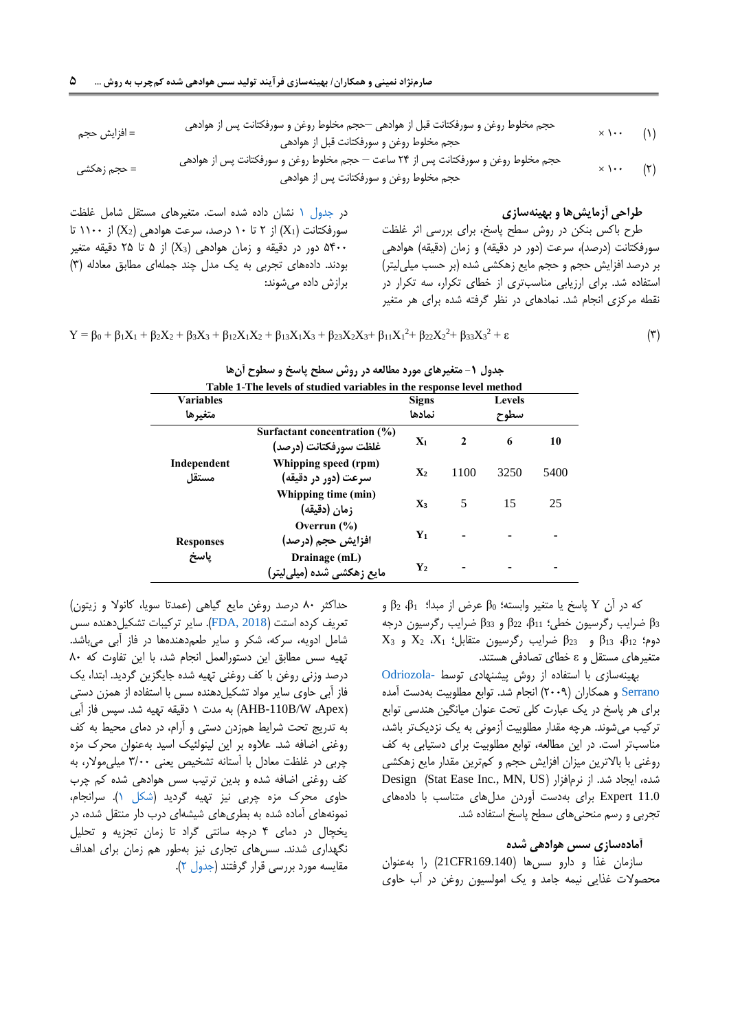× 111 )1( حجم مخلوط روغن و سورفکتانت قبل از هوادهی –حجم مخلوط روغن و سورفکتانت پس از هوادهی = افزایش حجم حجم مخلوط روغن و سورفکتانت قبل از هوادهی × 111 )2( حجم مخلوط روغن و سورفکتانت پس از 20 ساعت – حجم مخلوط روغن و سورفکتانت پس از هوادهی = حجم زهکشی

حجم مخلوط روغن و سورفکتانت پس از هوادهی

#### <span id="page-4-0"></span>**طراحی آزمایشها و بهینهسازی**

طرح باکس بنکن در روش سطح پاسخ، برای بررسی اثر غلظت سورفکتانت (درصد)، سرعت (دور در دقیقه) و زمان (دقیقه) هوادهی بر درصد افزایش حجم و حجم مایع زهکشی شده )بر حسب میلیلیتر( استفاده شد. برای ارزیابی مناسبتری از خطای تکرار، سه تکرار در نقطه مرکزی انجام شد. نمادهای در نظر گرفته شده برای هر متغیر

در [جدول 1](#page-4-0) نشان داده شده است. متغیرهای مستقل شامل غلظت سورفکتانت (X1) از ۲ تا ۱۰ درصد، سرعت هوادهی  $(X_2)$  از ۱۱۰۰ تا دور در دقیقه و زمان هوادهی (X3) از ۵ تا ۲۵ دقیقه متغیر ) دور در دقیقه متغیر  $35 \cdots$ بودند. دادههای تجربی به یک مدل چند جملهای مطابق معادله )0( برازش داده میشوند:

$$
Y = \beta_0 + \beta_1 X_1 + \beta_2 X_2 + \beta_3 X_3 + \beta_{12} X_1 X_2 + \beta_{13} X_1 X_3 + \beta_{23} X_2 X_3 + \beta_{11} X_1^2 + \beta_{22} X_2^2 + \beta_{33} X_3^2 + \epsilon
$$
 (7)

|                      | Table 1-The levels of studied variables in the response level method |                |              |      |      |  |  |  |
|----------------------|----------------------------------------------------------------------|----------------|--------------|------|------|--|--|--|
| <b>Variables</b>     |                                                                      | <b>Signs</b>   |              |      |      |  |  |  |
| متغيرها              |                                                                      | نمادها         |              | سطوح |      |  |  |  |
|                      | Surfactant concentration (%)<br>غلظت سورفكتانت (درصد)                | $X_1$          | $\mathbf{2}$ | 6    | 10   |  |  |  |
| Independent<br>مستقا | Whipping speed (rpm)<br>سرعت (دور در دقیقه)                          | $\mathbf{X}_2$ | 1100         | 3250 | 5400 |  |  |  |
|                      | Whipping time (min)<br>زمان (دقيقه)                                  | $X_3$          | 5            | 15   | 25   |  |  |  |
| <b>Responses</b>     | Overrun $(\% )$<br>افزایش حجم (درصد)                                 | $Y_1$          |              |      |      |  |  |  |
| ياسخ                 | Drainage (mL)<br>مایع زهکشی شده (میلیلیتر)                           | $\mathbf{Y}_2$ |              |      |      |  |  |  |

|  |  |  |  |  |  |  | جدول ۱- متغیرهای مورد مطالعه در روس سطح پاسخ و سطوح آنها |       |  |
|--|--|--|--|--|--|--|----------------------------------------------------------|-------|--|
|  |  |  |  |  |  |  |                                                          | _____ |  |

که در آن Y پاسخ یا متغیر وابسته؛ <sup>0</sup>β عرض از مبدا؛ <sup>1</sup>β، 2β و <sup>3</sup>β ضرایب رگرسیون خطی؛ 11β، 22β و 33β ضرایب رگرسیون درجه  $X_3$  دوم؛  $\beta_{12}$   $\beta_{13}$  و  $\beta_{23}$  ضرایب رگرسیون متقابل؛  $X_1$ ،  $X_2$  و 3 متغیرهای مستقل و ε خطای تصادفی هستند.

بهینهسازی با استفاده از روش پیشنهادی توسط [-Odriozola](#page-18-10) [Serrano](#page-18-10) و همکاران )2111( انجام شد. توابع مطلوبیت بهدست آمده برای هر پاسخ در یک عبارت کلی تحت عنوان میانگین هندسی توابع ترکیب میشوند. هرچه مقدار مطلوبیت آزمونی به یک نزدیکتر باشد، مناسبتر است. در این مطالعه، توابع مطلوبیت برای دستیابی به کف روغنی با باالترین میزان افزایش حجم و کمترین مقدار مایع زهکشی Design (Stat Ease Inc., MN, US) نشده، ایجاد شد. از نرمافزار 11.0 Expert برای بهدست آوردن مدلهای متناسب با دادههای تجربی و رسم منحنیهای سطح پاسخ استفاده شد.

#### **آمادهسازی سس هوادهی شده**

سازمان غذا و دارو سسها )169.140CFR21 )را بهعنوان محصوالت غذایی نیمه جامد و یک امولسیون روغن در آب حاوی

حداکثر ۸۰ درصد روغن مایع گیاهی (عمدتا سویا، کانولا و زیتون) تعریف کرده استت ([2018 ,FDA](#page-19-7)). سایر ترکیبات تشکیل دهنده سس شامل ادویه، سرکه، شکر و سایر طعمدهندهها در فاز آبی میباشد. تهیه سس مطابق این دستورالعمل انجام شد، با این تفاوت که 01 درصد وزنی روغن با کف روغنی تهیه شده جایگزین گردید. ابتدا، یک فاز آبی حاوی سایر مواد تشکیلدهنده سس با استفاده از همزن دستی )Apex، W/B-110AHB )به مدت 1 دقیقه تهیه شد. سپس فاز آبی به تدریج تحت شرایط همزدن دستی و آرام، در دمای محیط به کف روغنی اضافه شد. عالوه بر این لینولئیک اسید بهعنوان محرک مزه چربی در غلظت معادل با آستانه تشخیص یعنی 0/11 میلیموالر، به کف روغنی اضافه شده و بدین ترتیب سس هوادهی شده کم چرب حاوی محرک مزه چربی نیز تهیه گردید [\)شکل 1\(](#page-5-0). سرانجام، نمونههای آماده شده به بطریهای شیشهای درب دار منتقل شده، در یخچال در دمای 0 درجه سانتی گراد تا زمان تجزیه و تحلیل نگهداری شدند. سسهای تجاری نیز بهطور هم زمان برای اهداف مقایسه مورد بررسی قرار گرفتند [\)جدول 2\(.](#page-6-0)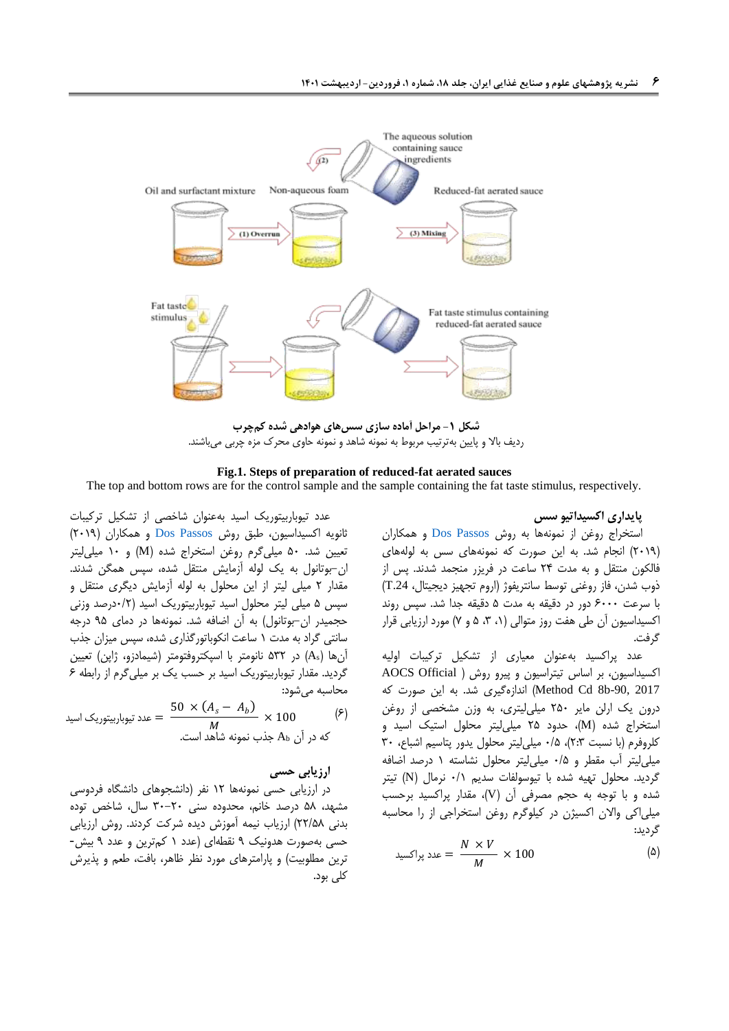

**شکل -1 مراحل آماده سازی سسهای هوادهی شده کمچرب** ردیف باال و پایین بهترتیب مربوط به نمونه شاهد و نمونه حاوی محرک مزه چربی میباشند.

#### **Fig.1. Steps of preparation of reduced-fat aerated sauces**

The top and bottom rows are for the control sample and the sample containing the fat taste stimulus, respectively.

<span id="page-5-0"></span>**پایداری اکسیداتیو سس**

استخراج روغن از نمونهها به روش [Passos Dos](#page-17-15) و همکاران )2111( انجام شد. به این صورت که نمونههای سس به لولههای فالکون منتقل و به مدت 20 ساعت در فریزر منجمد شدند. پس از ذوب شدن، فاز روغنی توسط سانتریفوژ )اروم تجهیز دیجیتال، .24T ) با سرعت 8111 دور در دقیقه به مدت 1 دقیقه جدا شد. سپس روند اکسیداسیون آن طی هفت روز متوالی )،1 ،0 1 و 4( مورد ارزیابی قرار گرفت.

عدد پراکسید بهعنوان معیاری از تشکیل ترکیبات اولیه اکسیداسیون، بر اساس تیتراسیون و پیرو روش ) Official AOCS 2017 -90,b8 Cd Method )اندازهگیری شد. به این صورت که درون یک ارلن مایر 211 میلیلیتری، به وزن مشخصی از روغن استخراج شده )M)، حدود 21 میلیلیتر محلول استیک اسید و کلروفرم (با نسبت ٢:٣)، ٠/۵ میلی لیتر محلول یدور پتاسیم اشباع، ٣٠ میلیلیتر آب مقطر و 1/1 میلیلیتر محلول نشاسته 1 درصد اضافه گردید. محلول تهیه شده با تیوسولفات سدیم 1/1 نرمال )N )تیتر شده و با توجه به حجم مصرفی آن )V)، مقدار پراکسید برحسب میلیاکی واالن اکسیژن در کیلوگرم روغن استخراجی از را محاسبه گردید:

$$
\lim_{M \to \infty} \frac{N \times V}{M} \times 100
$$
 (4)

عدد تیوباربیتوریک اسید بهعنوان شاخصی از تشکیل ترکیبات ثانویه اکسیداسیون، طبق روش [Passos Dos](#page-17-15) و همکاران )2111( تعیین شد. 11 میلیگرم روغن استخراج شده )M )و 11 میلیلیتر ان-بوتانول به یک لوله آزمایش منتقل شده، سپس همگن شدند. مقدار 2 میلی لیتر از این محلول به لوله آزمایش دیگری منتقل و سپس 1 میلی لیتر محلول اسید تیوباربیتوریک اسید )1/2درصد وزنی حجمیدر ان-بوتانول) به آن اضافه شد. نمونهها در دمای ۹۵ درجه سانتی گراد به مدت 1 ساعت انکوباتورگذاری شده، سپس میزان جذب آنها (As) در ۵۳۲ نانومتر با اسپکتروفتومتر (شیمادزو، ژاپن) تعیین گردید. مقدار تیوباربیتوریک اسید بر حسب یک بر میلیگرم از رابطه 8 محاسبه میشود:

$$
\left(\frac{50 \times (A_s - A_b)}{M} \times 100\right) \tag{5}
$$
که در آن 40 مند نیوباربیتوریک اسید  
که در آن 40 جذب نمونه شاهد است.

### **ارزیابی حسی**

در ارزیابی حسی نمونهها 12 نفر )دانشجوهای دانشگاه فردوسی مشهد، 10 درصد خانم، محدوده سنی 01-21 سال، شاخص توده بدنی 22/10( ارزیاب نیمه آموزش دیده شرکت کردند. روش ارزیابی حسی بهصورت هدونیک 1 نقطهای )عدد 1 کمترین و عدد 1 بیش- ترین مطلوبیت) و پارامترهای مورد نظر ظاهر، بافت، طعم و پذیرش کلی بود.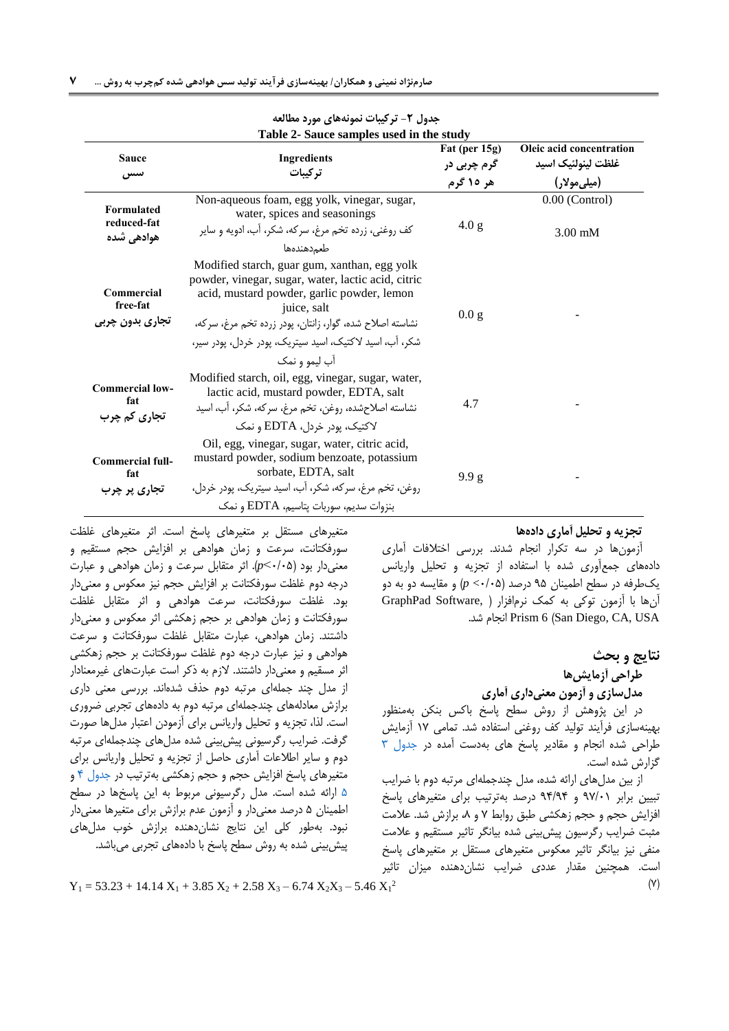| Table 2- Sauce samples used in the study       |                                                                                                                                                                                                                                                                                                         |                                           |                                                                        |  |  |  |  |  |
|------------------------------------------------|---------------------------------------------------------------------------------------------------------------------------------------------------------------------------------------------------------------------------------------------------------------------------------------------------------|-------------------------------------------|------------------------------------------------------------------------|--|--|--|--|--|
| <b>Sauce</b><br>سس                             | <b>Ingredients</b><br>تركيبات                                                                                                                                                                                                                                                                           | Fat (per 15g)<br>گرم چربی در<br>هر ۱۵ گرم | Oleic acid concentration<br>غلظت لينولئيك اسيد<br>(میل <i>ی</i> مولار) |  |  |  |  |  |
| <b>Formulated</b><br>reduced-fat<br>ھوادھے شدہ | Non-aqueous foam, egg yolk, vinegar, sugar,<br>water, spices and seasonings<br>کف روغنی، زرده تخم مرغ، سرکه، شکر، آب، ادویه و سایر<br>طعمدهندهها                                                                                                                                                        | 4.0 g                                     | $0.00$ (Control)<br>$3.00 \text{ mM}$                                  |  |  |  |  |  |
| Commercial<br>free-fat<br>تجاري بدون چربي      | Modified starch, guar gum, xanthan, egg yolk<br>powder, vinegar, sugar, water, lactic acid, citric<br>acid, mustard powder, garlic powder, lemon<br>juice, salt<br>نشاسته اصلاح شده، گوار، زانتان، پودر زرده تخم مرغ، سركه،<br>شکر، آب، اسید لاکتیک، اسید سپتریک، پودر خردل، پودر سپر،<br>آب ليمو و نمک | 0.0g                                      |                                                                        |  |  |  |  |  |
| <b>Commercial low-</b><br>fat<br>تجاری کم چرب  | Modified starch, oil, egg, vinegar, sugar, water,<br>lactic acid, mustard powder, EDTA, salt<br>نشاسته اصلاحشده، روغن، تخم مرغ، سركه، شكر، آب، اسيد<br>لاکتیک، یودر خردل، EDTA و نمک                                                                                                                    | 4.7                                       |                                                                        |  |  |  |  |  |
| <b>Commercial full-</b><br>fat<br>تجاری پر چرب | Oil, egg, vinegar, sugar, water, citric acid,<br>mustard powder, sodium benzoate, potassium<br>sorbate, EDTA, salt<br>روغن، تخم مرغ، سركه، شكر، آب، اسيد سيتريك، يودر خردل،<br>بنزوات سديم، سوربات يتاسيم، EDTA و نمك                                                                                   | 9.9g                                      |                                                                        |  |  |  |  |  |

<span id="page-6-0"></span>**جدول -2 ترکیبات نمونههای مورد مطالعه**

**تجزیه و تحلیل آماری دادهها**

آزمونها در سه تکرار انجام شدند. بررسی اختالفات آماری دادههای جمعآوری شده با استفاده از تجزیه و تحلیل واریانس یکطرفه در سطح اطمینان 11 درصد )1/11> *p* )و مقایسه دو به دو آنها با آزمون توکی به کمک نرمافزار ) ,Software GraphPad .شد انجام Prism 6 )San Diego, CA, USA

> **نتایج و بحث طراحی آزمایشها**

**مدلسازی و آزمون معنیداری آماری**

در این پژوهش از روش سطح پاسخ باکس بنکن بهمنظور بهینهسازی فرآیند تولید کف روغنی استفاده شد. تمامی 14 آزمایش طراحی شده انجام و مقادیر پاسخ های بهدست آمده در [جدول 0](#page-7-0) گزارش شده است.

از بین مدلهای ارائه شده، مدل چندجملهای مرتبه دوم با ضرایب تبیین برابر 14/11 و 10/10 درصد بهترتیب برای متغیرهای پاسخ افزایش حجم و حجم زهکشی طبق روابط 4 و ،0 برازش شد. عالمت مثبت ضرایب رگرسیون پیشبینی شده بیانگر تاثیر مستقیم و عالمت منفی نیز بیانگر تاثیر معکوس متغیرهای مستقل بر متغیرهای پاسخ است. همچنین مقدار عددی ضرایب نشاندهنده میزان تاثیر

متغیرهای مستقل بر متغیرهای پاسخ است. اثر متغیرهای غلظت سورفکتانت، سرعت و زمان هوادهی بر افزایش حجم مستقیم و معنیدار بود )1/11<*p*). اثر متقابل سرعت و زمان هوادهی و عبارت درجه دوم غلظت سورفکتانت بر افزایش حجم نیز معکوس و معنیدار بود. غلظت سورفکتانت، سرعت هوادهی و اثر متقابل غلظت سورفکتانت و زمان هوادهی بر حجم زهکشی اثر معکوس و معنیدار داشتند. زمان هوادهی، عبارت متقابل غلظت سورفکتانت و سرعت هوادهی و نیز عبارت درجه دوم غلظت سورفکتانت بر حجم زهکشی اثر مسقیم و معنیدار داشتند. الزم به ذکر است عبارتهای غیرمعنادار از مدل چند جملهای مرتبه دوم حذف شدهاند. بررسی معنی داری برازش معادلههای چندجملهای مرتبه دوم به دادههای تجربی ضروری است. لذا، تجزیه و تحلیل واریانس برای آزمودن اعتبار مدلها صورت گرفت. ضرایب رگرسیونی پیشبینی شده مدلهای چندجملهای مرتبه دوم و سایر اطالعات آماری حاصل از تجزیه و تحلیل واریانس برای متغیرهای پاسخ افزایش حجم و حجم زهکشی بهترتیب در [جدول](#page-7-1) 0 و [1](#page-9-0) ارائه شده است. مدل رگرسیونی مربوط به این پاسخها در سطح اطمینان 1 درصد معنیدار و آزمون عدم برازش برای متغیرها معنیدار نبود. بهطور کلی این نتایج نشاندهنده برازش خوب مدلهای پیشبینی شده به روش سطح پاسخ با دادههای تجربی میباشد.

 $Y_1 = 53.23 + 14.14 X_1 + 3.85 X_2 + 2.58 X_3 - 6.74 X_2 X_3 - 5.46 X_1^2$  (Y)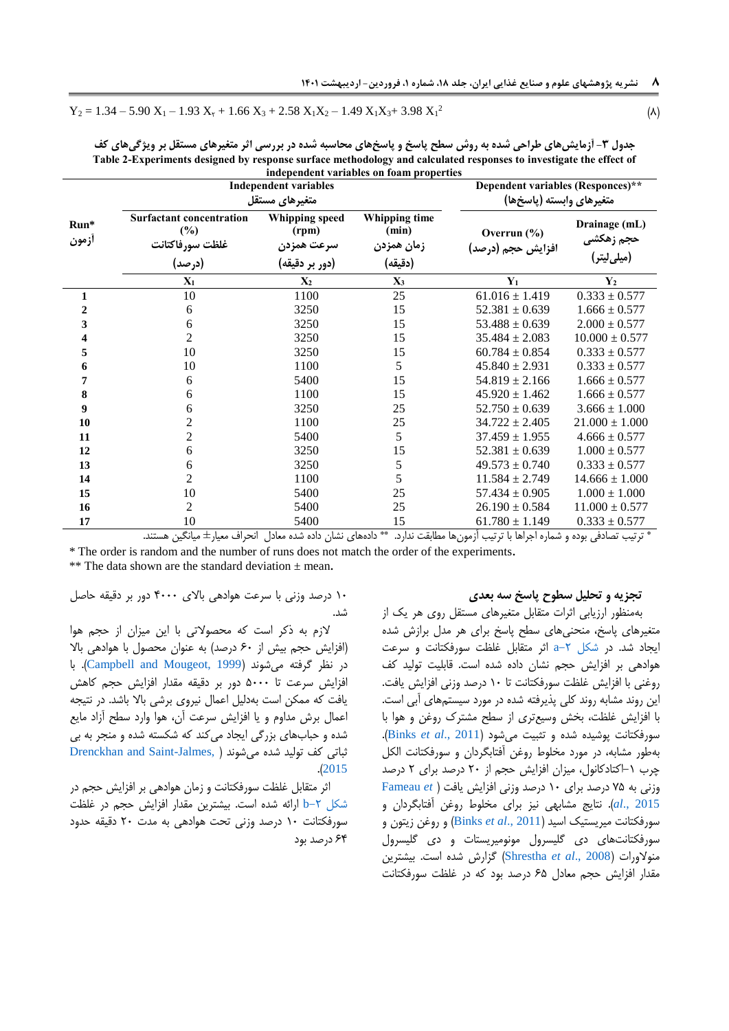$$
Y_2 = 1.34 - 5.90 X_1 - 1.93 X_1 + 1.66 X_3 + 2.58 X_1 X_2 - 1.49 X_1 X_3 + 3.98 X_1^2
$$
 (A)

|       |                                           |                                   | independent variables on foam properties |                    |                                          |  |
|-------|-------------------------------------------|-----------------------------------|------------------------------------------|--------------------|------------------------------------------|--|
|       | <b>Independent variables</b>              | Dependent variables (Responces)** |                                          |                    |                                          |  |
|       |                                           | متغیرهای مستقل                    | متغيرهاي وابسته (پاسخها)                 |                    |                                          |  |
| Run*  | <b>Surfactant concentration</b><br>$(\%)$ | Whipping speed<br>(rpm)           | Whipping time<br>(min)                   | Overrun $(\% )$    | Drainage (mL)                            |  |
| أزمون | غلظت سورفاكتانت                           | سرعت همزدن                        | زمان همزدن                               | افزایش حجم (درصد)  | حجم زهکش <i>ی</i><br>(میل <i>ی</i> لیتر) |  |
|       | (د, صد)                                   | (دور بر دقیقه)                    | (دقيقه)                                  |                    |                                          |  |
|       | $X_1$                                     | $X_2$                             | $X_3$                                    | $Y_1$              | $Y_2$                                    |  |
| 1     | 10                                        | 1100                              | 25                                       | $61.016 \pm 1.419$ | $0.333 \pm 0.577$                        |  |
| 2     | 6                                         | 3250                              | 15                                       | $52.381 \pm 0.639$ | $1.666 \pm 0.577$                        |  |
| 3     | 6                                         | 3250                              | 15                                       | $53.488 \pm 0.639$ | $2.000 \pm 0.577$                        |  |
| 4     | 2                                         | 3250                              | 15                                       | $35.484 \pm 2.083$ | $10.000 \pm 0.577$                       |  |
| 5     | 10                                        | 3250                              | 15                                       | $60.784 \pm 0.854$ | $0.333 \pm 0.577$                        |  |
| 6     | 10                                        | 1100                              | 5                                        | $45.840 \pm 2.931$ | $0.333 \pm 0.577$                        |  |
| 7     | 6                                         | 5400                              | 15                                       | $54.819 \pm 2.166$ | $1.666 \pm 0.577$                        |  |
| 8     | 6                                         | 1100                              | 15                                       | $45.920 \pm 1.462$ | $1.666 \pm 0.577$                        |  |
| 9     | 6                                         | 3250                              | 25                                       | $52.750 \pm 0.639$ | $3.666 \pm 1.000$                        |  |
| 10    | $\overline{2}$                            | 1100                              | 25                                       | $34.722 \pm 2.405$ | $21.000 \pm 1.000$                       |  |
| 11    | $\overline{2}$                            | 5400                              | 5                                        | $37.459 \pm 1.955$ | $4.666 \pm 0.577$                        |  |
| 12    | 6                                         | 3250                              | 15                                       | $52.381 \pm 0.639$ | $1.000 \pm 0.577$                        |  |
| 13    | 6                                         | 3250                              | 5                                        | $49.573 \pm 0.740$ | $0.333 \pm 0.577$                        |  |
| 14    | $\overline{2}$                            | 1100                              | 5                                        | $11.584 \pm 2.749$ | $14.666 \pm 1.000$                       |  |
| 15    | 10                                        | 5400                              | 25                                       | $57.434 \pm 0.905$ | $1.000 \pm 1.000$                        |  |
| 16    | 2                                         | 5400                              | 25                                       | $26.190 \pm 0.584$ | $11.000 \pm 0.577$                       |  |
| 17    | 10                                        | 5400                              | 15                                       | $61.780 \pm 1.149$ | $0.333 \pm 0.577$                        |  |

**جدول -3 آزمایشهای طراحی شده به روش سطح پاسخ و پاسخهای محاسبه شده در بررسی اثر متغیرهای مستقل بر ویژگیهای کف Table 2-Experiments designed by response surface methodology and calculated responses to investigate the effect of** 

\* ترتیب تصادفی بوده و شماره اجراها با ترتیب آزمونها مطابقت ندارد. \*\* دادههای نشان داده شده معادل انحراف معیار± میانگین هستند. \* The order is random and the number of runs does not match the order of the experiments**.**

\*\* The data shown are the standard deviation ± mean**.**

#### 11 درصد وزنی با سرعت هوادهی باالی 0111 دور بر دقیقه حاصل شد.

الزم به ذکر است که محصوالتی با این میزان از حجم هوا )افزایش حجم بیش از 81 درصد( به عنوان محصول با هوادهی باال در نظر گرفته میشوند )[1999 ,Mougeot and Campbell](#page-17-17)). با افزایش سرعت تا 1111 دور بر دقیقه مقدار افزایش حجم کاهش یافت که ممکن است بهدلیل اعمال نیروی برشی باال باشد. در نتیجه اعمال برش مداوم و یا افزایش سرعت آن، هوا وارد سطح آزاد مایع شده و حبابهای بزرگی ایجاد می کند که شکسته شده و منجر به بی ثباتی کف تولید شده میشوند [\)](#page-17-18) [,Jalmes-Saint and Drenckhan](#page-17-18) .)[2015](#page-17-18)

اثر متقابل غلظت سورفکتانت و زمان هوادهی بر افزایش حجم در شکل ۲-b ارائه شده است. بیشترین مقدار افزایش حجم در غلظت سورفکتانت 11 درصد وزنی تحت هوادهی به مدت 21 دقیقه حدود 80 درصد بود

### **تجزیه و تحلیل سطوح پاسخ سه بعدی**

<span id="page-7-1"></span>بهمنظور ارزیابی اثرات متقابل متغیرهای مستقل روی هر یک از متغیرهای پاسخ، منحنیهای سطح پاسخ برای هر مدل برازش شده ایجاد شد. در [شکل -2](#page-10-0)a اثر متقابل غلظت سورفکتانت و سرعت هوادهی بر افزایش حجم نشان داده شده است. قابلیت تولید کف روغنی با افزایش غلظت سورفکتانت تا 11 درصد وزنی افزایش یافت. این روند مشابه روند کلی پذیرفته شده در مورد سیستمهای آبی است. با افزایش غلظت، بخش وسیعتری از سطح مشترک روغن و هوا با سورفکتانت پوشیده شده و تثبیت میشود )[2011 .,](#page-17-16)*al et* Binks). بهطور مشابه، در مورد مخلوط روغن آفتابگردان و سورفکتانت الکل چرب -1اکتادکانول، میزان افزایش حجم از 21 درصد برای 2 درصد وزنی به 41 درصد برای 11 درصد وزنی افزایش یافت [\)](#page-17-10) *et* [Fameau](#page-17-10) [2015 .,](#page-17-10)*al*). نتایج مشابهی نیز برای مخلوط روغن آفتابگردان و سورفکتانت میریستیک اسید )[2011 .,](#page-17-16)*al et* Binks )و روغن زیتون و سورفکتانتهای دی گلیسرول مونومیریستات و دی گلیسرول منوالورات )2008 .,*al et* [Shrestha](#page-19-3) )گزارش شده است. بیشترین مقدار افزایش حجم معادل 81 درصد بود که در غلظت سورفکتانت

<span id="page-7-0"></span>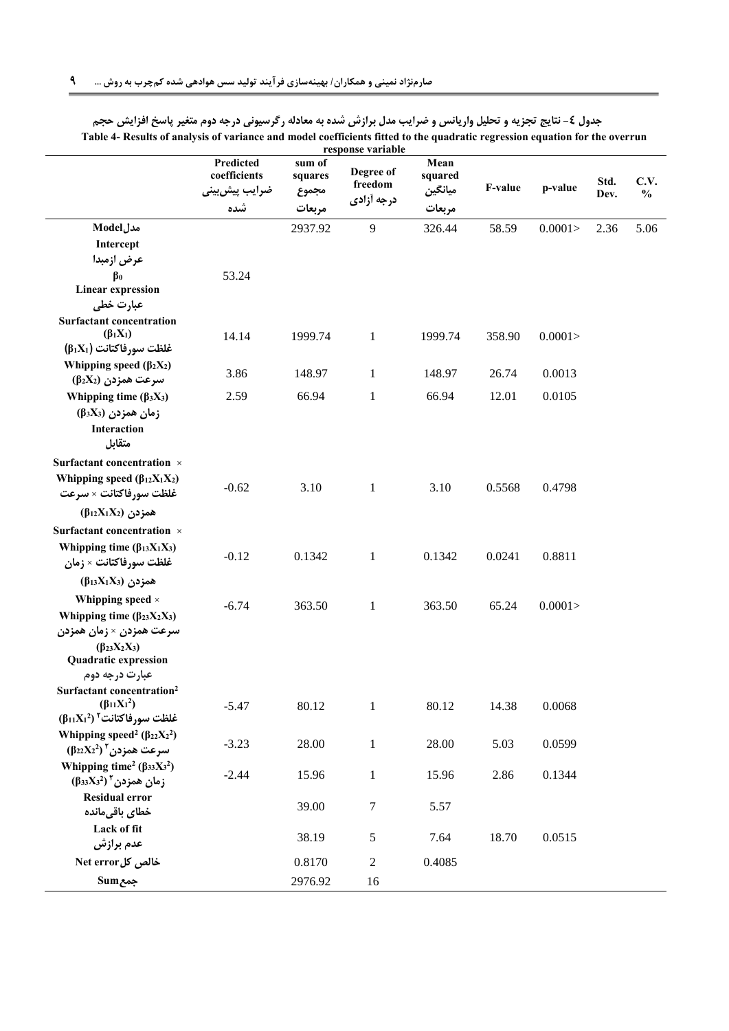|                                                                                       | Predicted<br>coefficients | sum of<br>squares | response variable<br>Degree of | Mean<br>squared   |         |         | Std. | C.V.          |
|---------------------------------------------------------------------------------------|---------------------------|-------------------|--------------------------------|-------------------|---------|---------|------|---------------|
|                                                                                       | ضرايب پيش بيني<br>شده     | مجموع<br>مربعات   | freedom<br>درجه آزادی          | ميانگين<br>مربعات | F-value | p-value | Dev. | $\frac{0}{0}$ |
| مدلModel                                                                              |                           | 2937.92           | 9                              | 326.44            | 58.59   | 0.0001  | 2.36 | 5.06          |
| Intercept                                                                             |                           |                   |                                |                   |         |         |      |               |
| عرض ازمبدا                                                                            |                           |                   |                                |                   |         |         |      |               |
| $\beta_0$                                                                             | 53.24                     |                   |                                |                   |         |         |      |               |
| <b>Linear expression</b>                                                              |                           |                   |                                |                   |         |         |      |               |
| عبارت خطی                                                                             |                           |                   |                                |                   |         |         |      |               |
| <b>Surfactant concentration</b><br>$(\beta_1 X_1)$<br>$(\beta_1 X_1)$ غلظت سورفاكتانت | 14.14                     | 1999.74           | $\mathbf{1}$                   | 1999.74           | 358.90  | 0.0001  |      |               |
| Whipping speed $(\beta_2 X_2)$                                                        |                           |                   |                                |                   |         |         |      |               |
| (β2X2) سرعت همزدن                                                                     | 3.86                      | 148.97            | $\mathbf{1}$                   | 148.97            | 26.74   | 0.0013  |      |               |
| Whipping time $(\beta_3X_3)$                                                          | 2.59                      | 66.94             | $\mathbf{1}$                   | 66.94             | 12.01   | 0.0105  |      |               |
| $(\beta_3 X_3)$ زمان همزدن                                                            |                           |                   |                                |                   |         |         |      |               |
| <b>Interaction</b>                                                                    |                           |                   |                                |                   |         |         |      |               |
| متقابل                                                                                |                           |                   |                                |                   |         |         |      |               |
| Surfactant concentration ×                                                            |                           |                   |                                |                   |         |         |      |               |
| Whipping speed $(\beta_{12}X_1X_2)$<br>غلظت سورفاكتانت × سرعت                         | $-0.62$                   | 3.10              | $\mathbf{1}$                   | 3.10              | 0.5568  | 0.4798  |      |               |
| $(\beta_{12}X_1X_2)$ همزدن                                                            |                           |                   |                                |                   |         |         |      |               |
| Surfactant concentration ×                                                            |                           |                   |                                |                   |         |         |      |               |
| Whipping time $(\beta_{13}X_1X_3)$                                                    |                           |                   |                                |                   |         |         |      |               |
| غلظت سورفاكتانت × زمان                                                                | $-0.12$                   | 0.1342            | $\mathbf{1}$                   | 0.1342            | 0.0241  | 0.8811  |      |               |
| $(\beta_{13}X_1X_3)$ همزدن                                                            |                           |                   |                                |                   |         |         |      |               |
| Whipping speed ×                                                                      |                           |                   |                                |                   |         |         |      |               |
| Whipping time $(\beta_{23}X_2X_3)$                                                    | $-6.74$                   | 363.50            | 1                              | 363.50            | 65.24   | 0.0001  |      |               |
| سرعت همزدن × زمان همزدن                                                               |                           |                   |                                |                   |         |         |      |               |
| $(\beta_{23}X_2X_3)$                                                                  |                           |                   |                                |                   |         |         |      |               |
| <b>Quadratic expression</b>                                                           |                           |                   |                                |                   |         |         |      |               |
| عبارت درجه دوم                                                                        |                           |                   |                                |                   |         |         |      |               |
| Surfactant concentration <sup>2</sup><br>$(\beta_{11}X_1^2)$                          |                           |                   |                                |                   |         |         |      |               |
| $(\beta_{11}X_1^2)$ غلظت سورفاكتانت <sup>7</sup>                                      | $-5.47$                   | 80.12             | $\mathbf{1}$                   | 80.12             | 14.38   | 0.0068  |      |               |
| Whipping speed <sup>2</sup> ( $\beta_{22}X_2^2$ )                                     |                           |                   |                                |                   |         |         |      |               |
| $(\beta_{22}X_2^2)$ سرعت همزدن ۲                                                      | $-3.23$                   | 28.00             | $\mathbf{1}$                   | 28.00             | 5.03    | 0.0599  |      |               |
| Whipping time <sup>2</sup> ( $\beta_{33}X_3^2$ )                                      |                           |                   |                                |                   |         |         |      |               |
| $(\beta_{33}X_3^2)$ زمان همزدن (                                                      | $-2.44$                   | 15.96             | $\mathbf{1}$                   | 15.96             | 2.86    | 0.1344  |      |               |
| <b>Residual error</b>                                                                 |                           |                   | $\boldsymbol{7}$               |                   |         |         |      |               |
| خطاي باقىمانده                                                                        |                           | 39.00             |                                | 5.57              |         |         |      |               |
| Lack of fit                                                                           |                           | 38.19             | $\mathfrak s$                  | 7.64              | 18.70   | 0.0515  |      |               |
| عدم برازش                                                                             |                           |                   |                                |                   |         |         |      |               |
| خالص کلNet error                                                                      |                           | 0.8170            | $\sqrt{2}$                     | 0.4085            |         |         |      |               |
| جمعSum                                                                                |                           | 2976.92           | 16                             |                   |         |         |      |               |

| جدول ٤- نتايج تجزيه و تحليل واريانس و ضرايب مدل برازش شده به معادله رگرسيوني درجه دوم متغير پاسخ افزايش حجم                 |
|-----------------------------------------------------------------------------------------------------------------------------|
| Table 4- Results of analysis of variance and model coefficients fitted to the quadratic regression equation for the overrun |
| response variable                                                                                                           |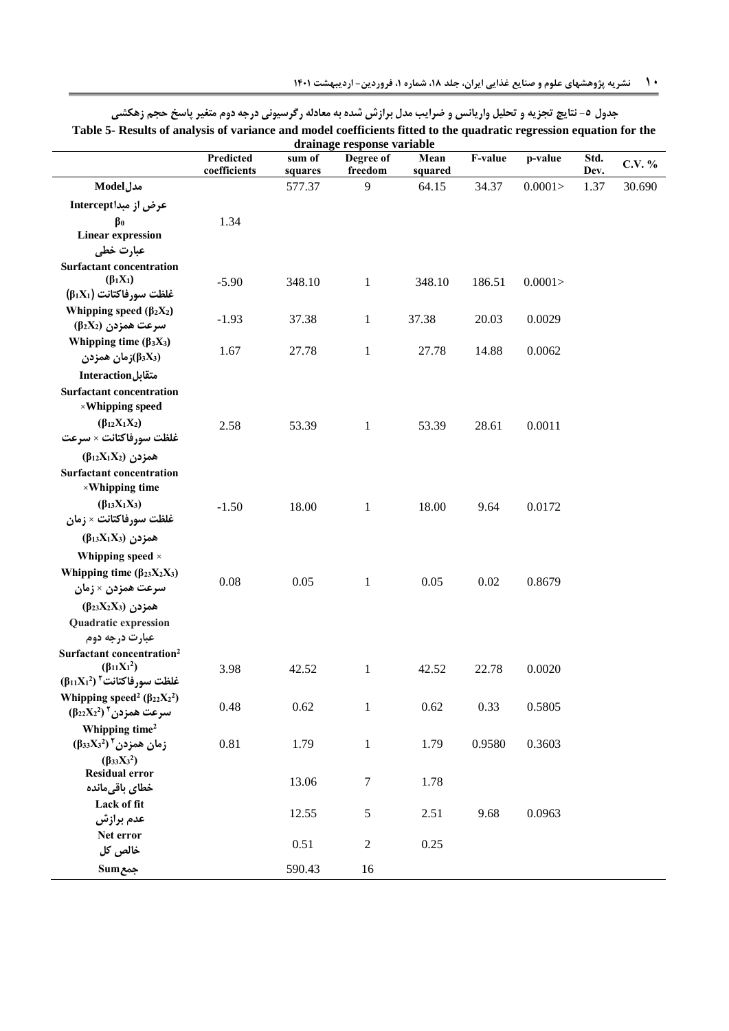| drainage response variable                                    |                           |                   |                      |                 |         |         |              |        |
|---------------------------------------------------------------|---------------------------|-------------------|----------------------|-----------------|---------|---------|--------------|--------|
|                                                               | Predicted<br>coefficients | sum of<br>squares | Degree of<br>freedom | Mean<br>squared | F-value | p-value | Std.<br>Dev. | C.V. % |
| <b>Model</b> مدل                                              |                           | 577.37            | 9                    | 64.15           | 34.37   | 0.0001  | 1.37         | 30.690 |
| عرض از مبداIntercept                                          |                           |                   |                      |                 |         |         |              |        |
| $\beta_0$                                                     | 1.34                      |                   |                      |                 |         |         |              |        |
| <b>Linear expression</b>                                      |                           |                   |                      |                 |         |         |              |        |
| عبارت خطی                                                     |                           |                   |                      |                 |         |         |              |        |
| <b>Surfactant concentration</b>                               |                           |                   |                      |                 |         |         |              |        |
| $(\beta_1 X_1)$                                               | $-5.90$                   | 348.10            | $\mathbf{1}$         | 348.10          | 186.51  | 0.0001  |              |        |
| $(\beta_1 X_1)$ غلظت سورفاكتانت (61                           |                           |                   |                      |                 |         |         |              |        |
| Whipping speed $(\beta_2 X_2)$                                | $-1.93$                   | 37.38             | $\mathbf{1}$         | 37.38           | 20.03   | 0.0029  |              |        |
| (β2X2) سرعت همزدن                                             |                           |                   |                      |                 |         |         |              |        |
| Whipping time $(\beta_3X_3)$                                  | 1.67                      | 27.78             | $\mathbf{1}$         | 27.78           | 14.88   | 0.0062  |              |        |
| (β3X3)زمان همزدن                                              |                           |                   |                      |                 |         |         |              |        |
| متقابل Interaction                                            |                           |                   |                      |                 |         |         |              |        |
| <b>Surfactant concentration</b>                               |                           |                   |                      |                 |         |         |              |        |
| $\times$ Whipping speed                                       |                           |                   |                      |                 |         |         |              |        |
| $(\beta_{12}X_1X_2)$<br>غلظت سورفاكتانت × سرعت                | 2.58                      | 53.39             | $\mathbf{1}$         | 53.39           | 28.61   | 0.0011  |              |        |
|                                                               |                           |                   |                      |                 |         |         |              |        |
| $(\beta_{12}X_1X_2)$ همزدن<br><b>Surfactant concentration</b> |                           |                   |                      |                 |         |         |              |        |
| ×Whipping time                                                |                           |                   |                      |                 |         |         |              |        |
| $(\beta_{13}X_1X_3)$                                          |                           |                   |                      |                 |         |         |              |        |
| غلظت سورفاكتانت × زمان                                        | $-1.50$                   | 18.00             | $\mathbf{1}$         | 18.00           | 9.64    | 0.0172  |              |        |
| $(\beta_{13}X_1X_3)$ همزدن                                    |                           |                   |                      |                 |         |         |              |        |
|                                                               |                           |                   |                      |                 |         |         |              |        |
| Whipping speed $\times$                                       |                           |                   |                      |                 |         |         |              |        |
| Whipping time $(\beta_{23}X_2X_3)$                            | 0.08                      | 0.05              | $\mathbf{1}$         | 0.05            | 0.02    | 0.8679  |              |        |
| سرعت همزدن × زمان                                             |                           |                   |                      |                 |         |         |              |        |
| $(\beta_{23}X_2X_3)$ همزدن                                    |                           |                   |                      |                 |         |         |              |        |
| <b>Quadratic expression</b>                                   |                           |                   |                      |                 |         |         |              |        |
| عبارت درجه دوم<br>Surfactant concentration <sup>2</sup>       |                           |                   |                      |                 |         |         |              |        |
| $(\beta_{11}X_1^2)$                                           | 3.98                      | 42.52             | $\mathbf{1}$         | 42.52           | 22.78   | 0.0020  |              |        |
| $(\beta_{11}X_1^2)$ غلظت سورفاكتانت <sup>7</sup>              |                           |                   |                      |                 |         |         |              |        |
| Whipping speed <sup>2</sup> ( $\beta_{22}X_2^2$ )             |                           |                   |                      |                 |         |         |              |        |
| $(\beta_{22}X_2^2)$ ۲سرعت همزدن ( $\beta_{22}X_2$             | 0.48                      | 0.62              | $\,1$                | 0.62            | 0.33    | 0.5805  |              |        |
| Whipping time <sup>2</sup>                                    |                           |                   |                      |                 |         |         |              |        |
| $(\beta_{33}X_3^2)$ زمان همزدن (2                             | 0.81                      | 1.79              | $\mathbf{1}$         | 1.79            | 0.9580  | 0.3603  |              |        |
| $(\beta_{33}X_3^2)$                                           |                           |                   |                      |                 |         |         |              |        |
| <b>Residual error</b>                                         |                           | 13.06             | 7                    | 1.78            |         |         |              |        |
| خطاي باقىمانده                                                |                           |                   |                      |                 |         |         |              |        |
| Lack of fit<br>عدم برازش                                      |                           | 12.55             | $\sqrt{5}$           | 2.51            | 9.68    | 0.0963  |              |        |
| Net error                                                     |                           |                   |                      |                 |         |         |              |        |
| خالص کل                                                       |                           | 0.51              | $\sqrt{2}$           | 0.25            |         |         |              |        |
| <b>Sum</b>                                                    |                           | 590.43            | 16                   |                 |         |         |              |        |
|                                                               |                           |                   |                      |                 |         |         |              |        |

<span id="page-9-0"></span>**جدول -1 نتایج تجزیه و تحلیل واریانس و ضرایب مدل برازش شده به معادله رگرسیونی درجه دوم متغیر پاسخ حجم زهکشی Table 5- Results of analysis of variance and model coefficients fitted to the quadratic regression equation for the**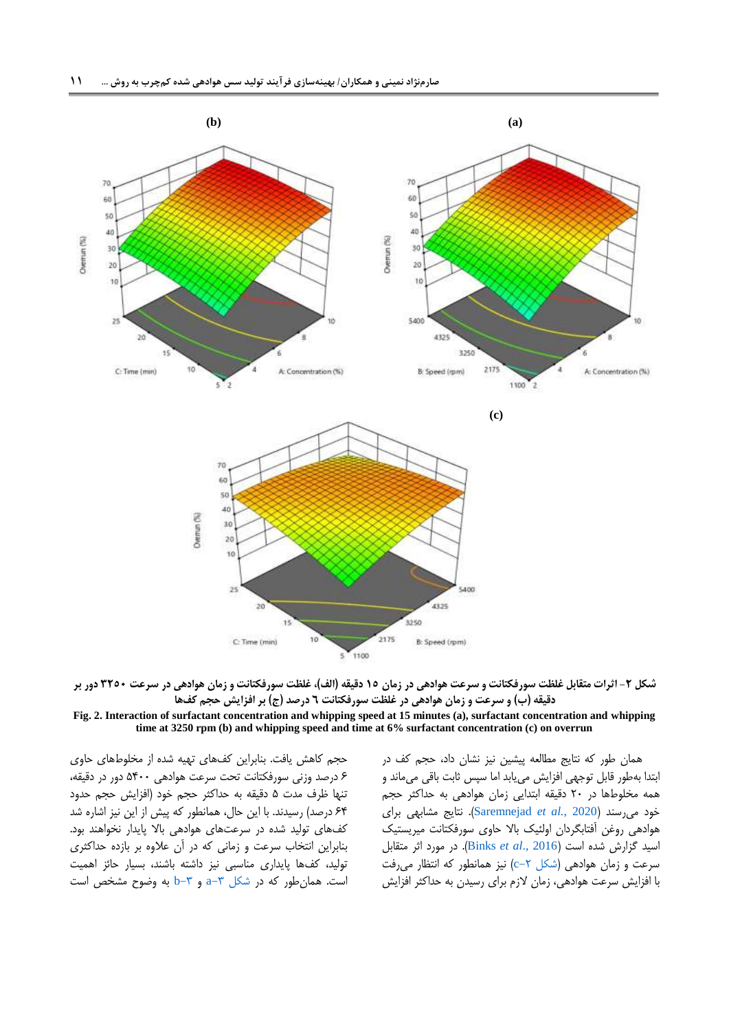

شکل ۲- اثرات متقابل غلظت سورفکتانت و سرعت هوادهی در زمان ۱۵ دقیقه (الف)، غلظت سورفکتانت و زمان هوادهی در سرعت ۳۲۵۰ دور بر **دقیقه )ب( و سرعت و زمان هوادهی در غلظت سورفکتانت 6 درصد )ج( بر افزایش حجم کفها**

#### **Fig. 2. Interaction of surfactant concentration and whipping speed at 15 minutes (a), surfactant concentration and whipping time at 3250 rpm (b) and whipping speed and time at 6% surfactant concentration (c) on overrun**

حجم کاهش یافت. بنابراین کفهای تهیه شده از مخلوطهای حاوی 8 درصد وزنی سورفکتانت تحت سرعت هوادهی 1011 دور در دقیقه، تنها ظرف مدت 1 دقیقه به حداکثر حجم خود )افزایش حجم حدود ۶۴ درصد) رسیدند. با این حال، همانطور که پیش از این نیز اشاره شد کفهای تولید شده در سرعتهای هوادهی باال پایدار نخواهند بود. بنابراین انتخاب سرعت و زمانی که در آن عالوه بر بازده حداکثری تولید، کفها پایداری مناسبی نیز داشته باشند، بسیار حائز اهمیت است. همان طور که در شکل  $-7$  و  $-0$  به وضوح مشخص است <span id="page-10-0"></span>همان طور که نتایج مطالعه پیشین نیز نشان داد، حجم کف در ابتدا بهطور قابل توجهی افزایش مییابد اما سپس ثابت باقی میماند و همه مخلوطها در 21 دقیقه ابتدایی زمان هوادهی به حداکثر حجم خود میرسند )2020 *.*,*al et* [Saremnejad](#page-18-5)). نتایج مشابهی برای هوادهی روغن آفتابگردان اولئیک باال حاوی سورفکتانت میریستیک اسید گزارش شده است )[2016 .,](#page-17-9)*al et* Binks). در مورد اثر متقابل سرعت و زمان هوادهی (شکل ۲–c) نیز همانطور که انتظار می رفت با افزایش سرعت هوادهی، زمان الزم برای رسیدن به حداکثر افزایش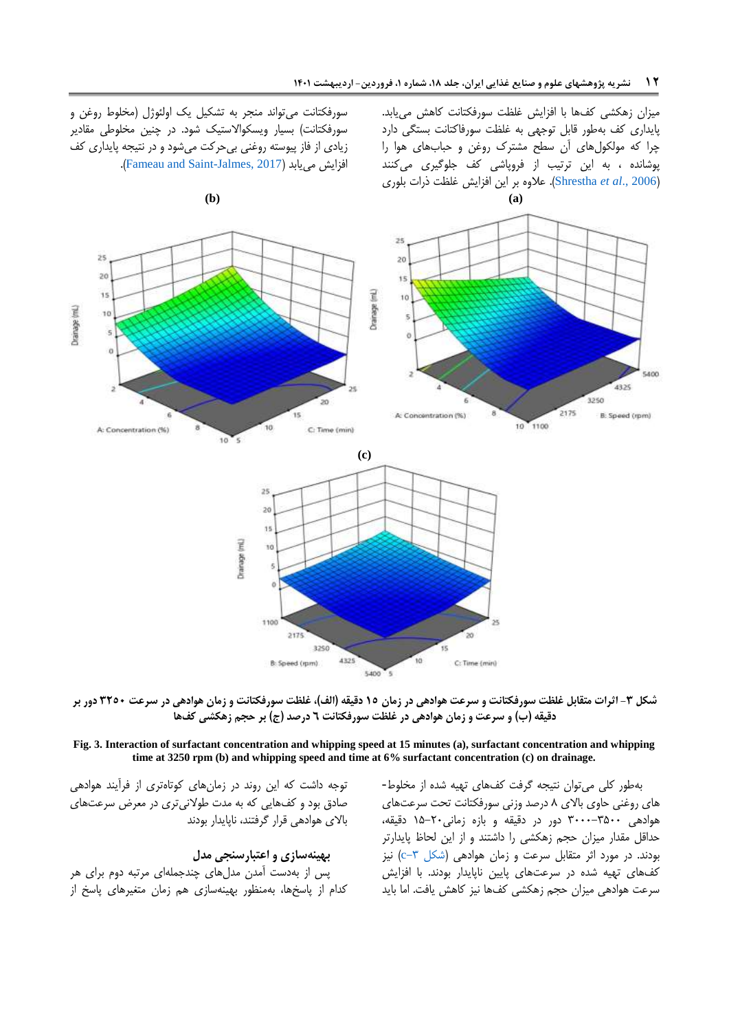میزان زهکشی کفها با افزایش غلظت سورفکتانت کاهش مییابد. پایداری کف بهطور قابل توجهی به غلظت سورفاکتانت بستگی دارد چرا که مولکولهای آن سطح مشترک روغن و حبابهای هوا را پوشانده ، به این ترتیب از فروپاشی کف جلوگیری میکنند )2006 .,*al et* [Shrestha](#page-19-3)). عالوه بر این افزایش غلظت ذرات بلوری

سورفکتانت میتواند منجر به تشکیل یک اولئوژل )مخلوط روغن و سورفکتانت) بسیار ویسکوالاستیک شود. در چنین مخلوطی مقادیر زیادی از فاز پیوسته روغنی بیحرکت میشود و در نتیجه پایداری کف .)[Fameau and Saint-Jalmes, 2017](#page-17-11)( مییابد افزایش



**شکل -3 اثرات متقابل غلظت سورفکتانت و سرعت هوادهی در زمان 11 دقیقه )الف(، غلظت سورفکتانت و زمان هوادهی در سرعت 3213 دور بر دقیقه )ب( و سرعت و زمان هوادهی در غلظت سورفکتانت 6 درصد )ج( بر حجم زهکشی کفها**

**Fig. 3. Interaction of surfactant concentration and whipping speed at 15 minutes (a), surfactant concentration and whipping time at 3250 rpm (b) and whipping speed and time at 6% surfactant concentration (c) on drainage.**

> <span id="page-11-0"></span>بهطور کلی میتوان نتیجه گرفت کفهای تهیه شده از مخلوط- های روغنی حاوی باالی 0 درصد وزنی سورفکتانت تحت سرعتهای هوادهی 0111-0111 دور در دقیقه و بازه زمانی11-21 دقیقه، حداقل مقدار میزان حجم زهکشی را داشتند و از این لحاظ پایدارتر بودند. در مورد اثر متقابل سرعت و زمان هوادهی (شکل ۳-c) نیز کفهای تهیه شده در سرعتهای پایین ناپایدار بودند. با افزایش سرعت هوادهی میزان حجم زهکشی کفها نیز کاهش یافت. اما باید

توجه داشت که این روند در زمانهای کوتاهتری از فرآیند هوادهی صادق بود و کفهایی که به مدت طوالنیتری در معرض سرعتهای باالی هوادهی قرار گرفتند، ناپایدار بودند

### **بهینهسازی و اعتبارسنجی مدل**

پس از بهدست آمدن مدلهای چندجملهای مرتبه دوم برای هر کدام از پاسخها، بهمنظور بهینهسازی هم زمان متغیرهای پاسخ از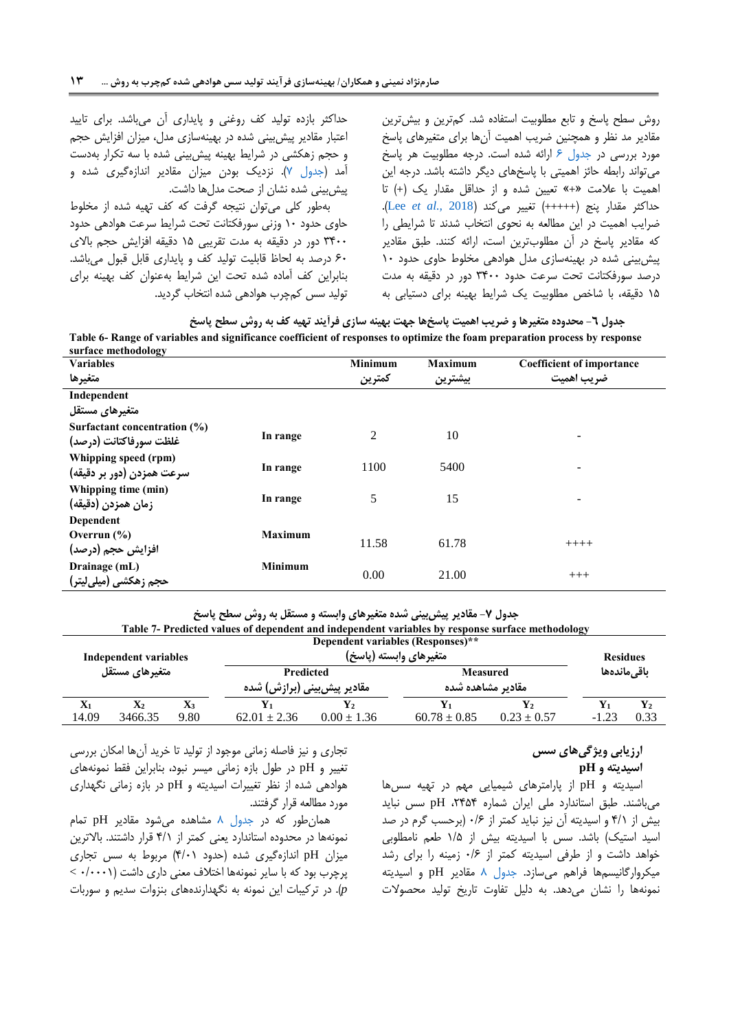حداکثر بازده تولید کف روغنی و پایداری آن میباشد. برای تایید اعتبار مقادیر پیشبینی شده در بهینهسازی مدل، میزان افزایش حجم و حجم زهکشی در شرایط بهینه پیشبینی شده با سه تکرار بهدست آمد [\)جدول 4\(](#page-12-1). نزدیک بودن میزان مقادیر اندازهگیری شده و پیشبینی شده نشان از صحت مدلها داشت.

بهطور کلی میتوان نتیجه گرفت که کف تهیه شده از مخلوط حاوی حدود 11 وزنی سورفکتانت تحت شرایط سرعت هوادهی حدود 0011 دور در دقیقه به مدت تقریبی 11 دقیقه افزایش حجم باالی 81 درصد به لحاظ قابلیت تولید کف و پایداری قابل قبول میباشد. بنابراین کف آماده شده تحت این شرایط بهعنوان کف بهینه برای تولید سس کمچرب هوادهی شده انتخاب گردید. <span id="page-12-0"></span>روش سطح پاسخ و تابع مطلوبیت استفاده شد. کمترین و بیشترین مقادیر مد نظر و همچنین ضریب اهمیت آنها برای متغیرهای پاسخ مورد بررسی در [جدول 8](#page-12-0) ارائه شده است. درجه مطلوبیت هر پاسخ میتواند رابطه حائز اهمیتی با پاسخهای دیگر داشته باشد. درجه این اهمیت با عالمت »+« تعیین شده و از حداقل مقدار یک )+( تا حداکثر مقدار پنج (+++++) تغییر میکند (Lee et al., 2018). ضرایب اهمیت در این مطالعه به نحوی انتخاب شدند تا شرایطی را که مقادیر پاسخ در آن مطلوبترین است، ارائه کنند. طبق مقادیر پیشبینی شده در بهینهسازی مدل هوادهی مخلوط حاوی حدود 11 درصد سورفکتانت تحت سرعت حدود 0011 دور در دقیقه به مدت 11 دقیقه، با شاخص مطلوبیت یک شرایط بهینه برای دستیابی به

| ً جدول ٦- محدوده متغيرها و ضريب اهميت پاسخها جهت بهينه سازي فرايند تهيه كف به روش سطح پاسخ                                 |
|----------------------------------------------------------------------------------------------------------------------------|
| Table 6- Range of variables and significance coefficient of responses to optimize the foam preparation process by response |
| awfaaa mathadalagu                                                                                                         |

| surface methodology                                    |                |                |                |                                  |
|--------------------------------------------------------|----------------|----------------|----------------|----------------------------------|
| <b>Variables</b>                                       |                | <b>Minimum</b> | <b>Maximum</b> | <b>Coefficient of importance</b> |
| متغيرها                                                |                | كمترين         | بيشترين        | ضريب اهميت                       |
| Independent                                            |                |                |                |                                  |
| متغیرهای مستقل                                         |                |                |                |                                  |
| Surfactant concentration (%)<br>غلظت سورفاكتانت (درصد) | In range       | $\overline{2}$ | 10             |                                  |
| Whipping speed (rpm)<br>سرعت همزدن (دور بر دقیقه)      | In range       | 1100           | 5400           | -                                |
| Whipping time (min)<br>زمان همزدن (دقيقه)              | In range       | 5              | 15             |                                  |
| Dependent                                              |                |                |                |                                  |
| Overrun $(\% )$<br>افزایش حجم (درصد)                   | <b>Maximum</b> | 11.58          | 61.78          | $++++-$                          |
| Drainage (mL)<br>حجم زهکش <i>ی</i> (میل <i>ی</i> لیتر) | <b>Minimum</b> | 0.00           | 21.00          | $+++$                            |

<span id="page-12-1"></span>**جدول -7 مقادیر پیشبینی شده متغیرهای وابسته و مستقل به روش سطح پاسخ**

**Table 7- Predicted values of dependent and independent variables by response surface methodology**

| Dependent variables (Responses)** |                 |                                          |                        |                               |                 |  |  |  |  |  |  |
|-----------------------------------|-----------------|------------------------------------------|------------------------|-------------------------------|-----------------|--|--|--|--|--|--|
| <b>Independent variables</b>      |                 |                                          |                        |                               | <b>Residues</b> |  |  |  |  |  |  |
|                                   |                 |                                          |                        | باقى ماندەھا                  |                 |  |  |  |  |  |  |
|                                   |                 |                                          |                        |                               |                 |  |  |  |  |  |  |
|                                   | Y2              |                                          |                        |                               | $\mathbf{Y}_2$  |  |  |  |  |  |  |
| $62.01 \pm 2.36$                  | $0.00 \pm 1.36$ | $60.78 \pm 0.85$                         | $0.23 \pm 0.57$        | $-1.23$                       | 0.33            |  |  |  |  |  |  |
|                                   |                 | Predicted<br>مقادیر پیش بینی (برازش) شده | متغيرهاي وابسته (پاسخ) | Measured<br>مقادير مشاهده شده |                 |  |  |  |  |  |  |

# **ارزیابی ویژگیهای سس**

**اسیدیته و pH**

اسیدیته و pH از پارامترهای شیمیایی مهم در تهیه سسها میباشند. طبق استاندارد ملی ایران شماره ،2010 pH سس نباید بیش از 0/1 و اسیدیته آن نیز نباید کمتر از 1/8 )برحسب گرم در صد اسید استیک) باشد. سس با اسیدیته بیش از ۱/۵ طعم نامطلوبی خواهد داشت و از طرفی اسیدیته کمتر از 1/8 زمینه را برای رشد میکروارگانیسمها فراهم میسازد. [جدول 0](#page-13-0) مقادیر pH و اسیدیته نمونهها را نشان میدهد. به دلیل تفاوت تاریخ تولید محصوالت

تجاری و نیز فاصله زمانی موجود از تولید تا خرید آنها امکان بررسی تغییر و pH در طول بازه زمانی میسر نبود، بنابراین فقط نمونههای هوادهی شده از نظر تغییرات اسیدیته و pH در بازه زمانی نگهداری مورد مطالعه قرار گرفتند.

همانطور که در [جدول 0](#page-13-0) مشاهده میشود مقادیر pH تمام نمونهها در محدوده استاندارد یعنی کمتر از 0/1 قرار داشتند. باالترین میزان pH اندازهگیری شده )حدود 0/11( مربوط به سس تجاری پرچرب بود که با سایر نمونهها اختالف معنی داری داشت )1/1111 > *p*). در ترکیبات این نمونه به نگهدارندههای بنزوات سدیم و سوربات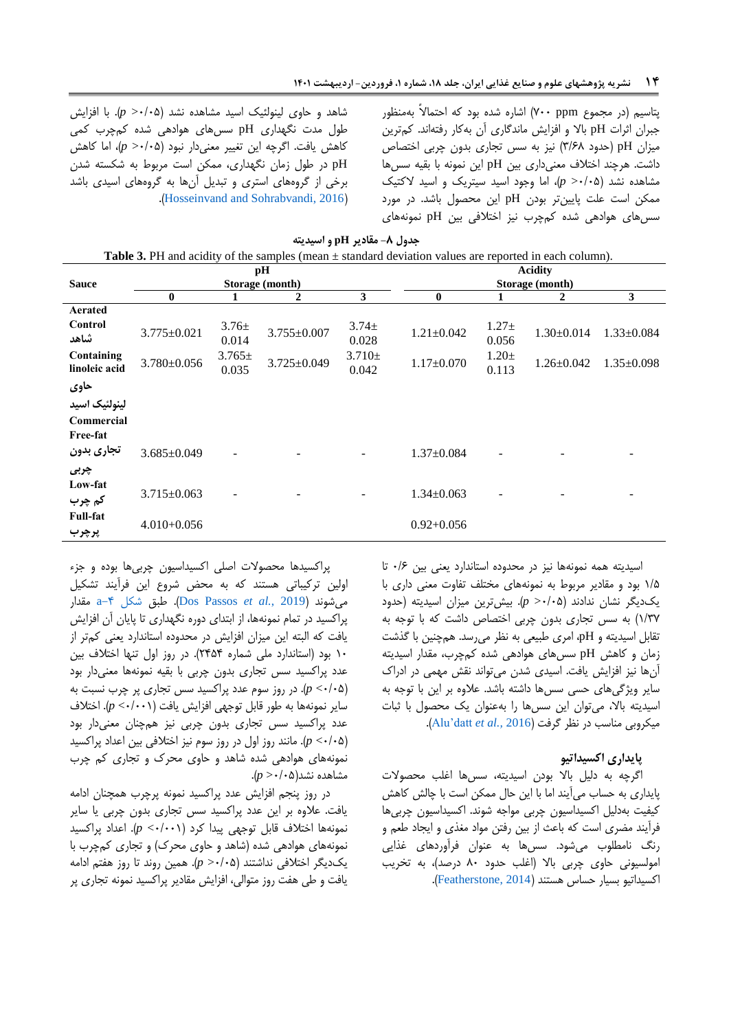شاهد و حاوی لینولئیک اسید مشاهده نشد )1/11< *p*). با افزایش طول مدت نگهداری pH سسهای هوادهی شده کمچرب کمی کاهش یافت. اگرچه این تغییر معنیدار نبود )1/11< *p*)، اما کاهش pH در طول زمان نگهداری، ممکن است مربوط به شکسته شدن برخی از گروههای استری و تبدیل آنها به گروههای اسیدی باشد .)[Hosseinvand and Sohrabvandi, 2016](#page-18-12)(

<span id="page-13-0"></span>پتاسیم )در مجموع ppm 411 )اشاره شده بود که احتماالً بهمنظور جبران اثرات pH باال و افزایش ماندگاری آن بهکار رفتهاند. کمترین میزان pH( حدود 0/80( نیز به سس تجاری بدون چربی اختصاص داشت. هرچند اختالف معنیداری بین pH این نمونه با بقیه سسها مشاهده نشد )1/11< *p*)، اما وجود اسید سیتریک و اسید الکتیک ممکن است علت پایینتر بودن pH این محصول باشد. در مورد سسهای هوادهی شده کمچرب نیز اختالفی بین pH نمونههای

|                             | <b>Table 3.</b> PH and acidity of the samples (mean $\pm$ standard deviation values are reported in each column). |                     |                       |                      |                                   |                     |                  |                  |  |
|-----------------------------|-------------------------------------------------------------------------------------------------------------------|---------------------|-----------------------|----------------------|-----------------------------------|---------------------|------------------|------------------|--|
| <b>Sauce</b>                |                                                                                                                   |                     | pH<br>Storage (month) |                      | <b>Acidity</b><br>Storage (month) |                     |                  |                  |  |
|                             | 0                                                                                                                 | 1                   | 2                     | 3                    | $\bf{0}$                          | 1                   | 2                | 3                |  |
| Aerated                     |                                                                                                                   |                     |                       |                      |                                   |                     |                  |                  |  |
| Control<br>شاهد             | $3.775 \pm 0.021$                                                                                                 | $3.76 \pm$<br>0.014 | $3.755 \pm 0.007$     | $3.74 \pm$<br>0.028  | $1.21 \pm 0.042$                  | $1.27 +$<br>0.056   | $1.30 \pm 0.014$ | $1.33 \pm 0.084$ |  |
| Containing<br>linoleic acid | $3.780 \pm 0.056$                                                                                                 | $3.765\pm$<br>0.035 | 3.725±0.049           | $3.710 \pm$<br>0.042 | $1.17 \pm 0.070$                  | $1.20 \pm$<br>0.113 | $1.26 \pm 0.042$ | $1.35 \pm 0.098$ |  |
| حاوي                        |                                                                                                                   |                     |                       |                      |                                   |                     |                  |                  |  |
| لينولئيك اسيد               |                                                                                                                   |                     |                       |                      |                                   |                     |                  |                  |  |
| Commercial                  |                                                                                                                   |                     |                       |                      |                                   |                     |                  |                  |  |
| Free-fat                    |                                                                                                                   |                     |                       |                      |                                   |                     |                  |                  |  |
| تجارى بدون                  | $3.685 \pm 0.049$                                                                                                 |                     |                       |                      | $1.37 \pm 0.084$                  |                     |                  |                  |  |
| چربی                        |                                                                                                                   |                     |                       |                      |                                   |                     |                  |                  |  |
| Low-fat                     | $3.715 \pm 0.063$                                                                                                 |                     |                       |                      | $1.34 \pm 0.063$                  |                     |                  |                  |  |
| کم چرب                      |                                                                                                                   |                     |                       |                      |                                   |                     |                  |                  |  |
| <b>Full-fat</b><br>پرچرب    | $4.010 + 0.056$                                                                                                   |                     |                       |                      | $0.92 + 0.056$                    |                     |                  |                  |  |

**جدول -8 مقادیر pH و اسیدیته**

اسیدیته همه نمونهها نیز در محدوده استاندارد یعنی بین 1/8 تا 1/1 بود و مقادیر مربوط به نمونههای مختلف تفاوت معنی داری با یکدیگر نشان ندادند )1/11< *p*). بیشترین میزان اسیدیته )حدود 1/04( به سس تجاری بدون چربی اختصاص داشت که با توجه به تقابل اسیدیته و pH، امری طبیعی به نظر میرسد. همچنین با گذشت زمان و کاهش pH سسهای هوادهی شده کمچرب، مقدار اسیدیته آنها نیز افزایش یافت. اسیدی شدن میتواند نقش مهمی در ادراک سایر ویژگیهای حسی سسها داشته باشد. عالوه بر این با توجه به اسیدیته باال، میتوان این سسها را بهعنوان یک محصول با ثبات میکروبی مناسب در نظر گرفت )2016 *.,al et* [datt'Alu](#page-16-2)).

### **پایداری اکسیداتیو**

اگرچه به دلیل باال بودن اسیدیته، سسها اغلب محصوالت پایداری به حساب میآیند اما با این حال ممکن است با چالش کاهش کیفیت بهدلیل اکسیداسیون چربی مواجه شوند. اکسیداسیون چربیها فرآیند مضری است که باعث از بین رفتن مواد مغذی و ایجاد طعم و رنگ نامطلوب میشود. سسها به عنوان فرآوردهای غذایی امولسیونی حاوی چربی باال )اغلب حدود 01 درصد(، به تخریب اکسیداتیو بسیار حساس هستند )[2014 ,Featherstone](#page-17-19)).

پراکسیدها محصوالت اصلی اکسیداسیون چربیها بوده و جزء اولین ترکیباتی هستند که به محض شروع این فرآیند تشکیل مقدار a[-0 شکل](#page-14-0) طبق .([Dos Passos](#page-17-15) *et al.*, 2019( میشوند پراکسید در تمام نمونهها، از ابتدای دوره نگهداری تا پایان آن افزایش یافت که البته این میزان افزایش در محدوده استاندارد یعنی کمتر از 11 بود )استاندارد ملی شماره 2010(. در روز اول تنها اختالف بین عدد پراکسید سس تجاری بدون چربی با بقیه نمونهها معنیدار بود )1/11> *p*). در روز سوم عدد پراکسید سس تجاری پر چرب نسبت به سایر نمونهها به طور قابل توجهی افزایش یافت )1/111> *p*). اختالف عدد پراکسید سس تجاری بدون چربی نیز همچنان معنیدار بود )1/11> *p*). مانند روز اول در روز سوم نیز اختالفی بین اعداد پراکسید نمونههای هوادهی شده شاهد و حاوی محرک و تجاری کم چرب مشاهده نشد)1/11< *p*).

در روز پنجم افزایش عدد پراکسید نمونه پرچرب همچنان ادامه یافت. عالوه بر این عدد پراکسید سس تجاری بدون چربی یا سایر نمونهها اختالف قابل توجهی پیدا کرد )1/111> *p*). اعداد پراکسید نمونههای هوادهی شده (شاهد و حاوی محرک) و تجاری کمچرب با یکدیگر اختالفی نداشتند )1/11< *p*). همین روند تا روز هفتم ادامه یافت و طی هفت روز متوالی، افزایش مقادیر پراکسید نمونه تجاری پر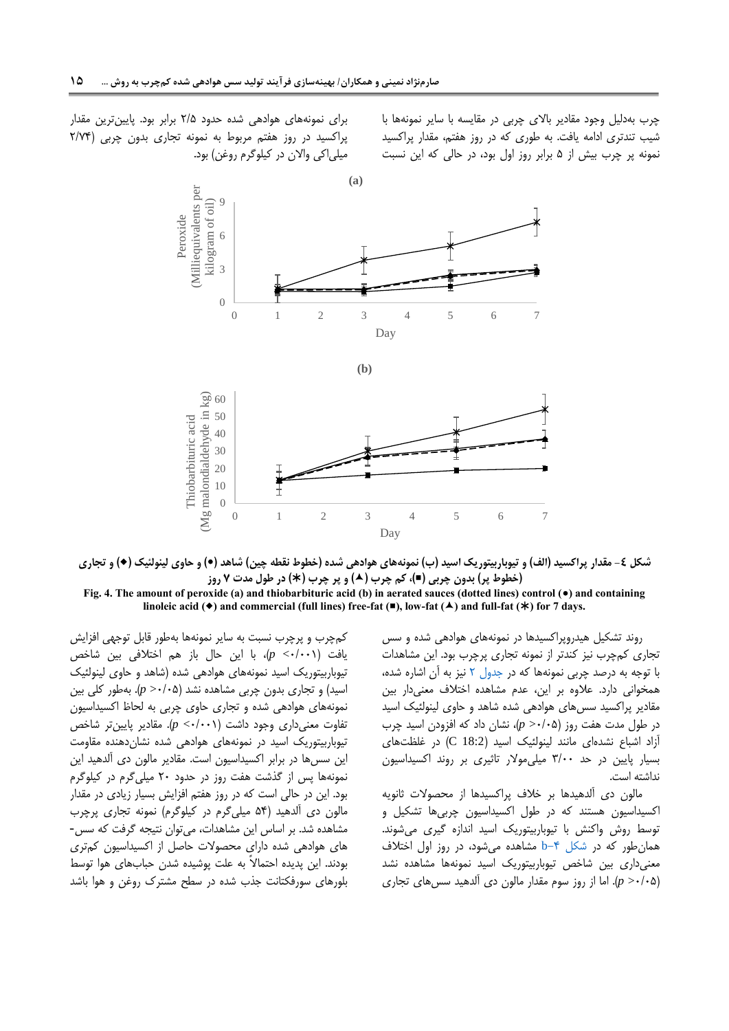چرب بهدلیل وجود مقادیر باالی چربی در مقایسه با سایر نمونهها با شیب تندتری ادامه یافت. به طوری که در روز هفتم، مقدار پراکسید نمونه پر چرب بیش از 1 برابر روز اول بود، در حالی که این نسبت

برای نمونههای هوادهی شده حدود 2/1 برابر بود. پایینترین مقدار پراکسید در روز هفتم مربوط به نمونه تجاری بدون چربی )2/40 میلی|کی والان در کیلوگرم روغن) بود.





**Fig. 4. The amount of peroxide (a) and thiobarbituric acid (b) in aerated sauces (dotted lines) control () and containing**  linoleic acid ( $\bullet$ ) and commercial (full lines) free-fat ( $\bullet$ ), low-fat ( $\bullet$ ) and full-fat ( $\ast$ ) for 7 days.

> <span id="page-14-0"></span>روند تشکیل هیدروپراکسیدها در نمونههای هوادهی شده و سس تجاری کمچرب نیز کندتر از نمونه تجاری پرچرب بود. این مشاهدات با توجه به درصد چربی نمونهها که در [جدول](#page-6-0) 2 نیز به آن اشاره شده، همخوانی دارد. عالوه بر این، عدم مشاهده اختالف معنیدار بین مقادیر پراکسید سسهای هوادهی شده شاهد و حاوی لینولئیک اسید در طول مدت هفت روز )1/11< *p*)، نشان داد که افزودن اسید چرب آزاد اشباع نشدهای مانند لینولئیک اسید )18:2 C )در غلظتهای بسیار پایین در حد 0/11 میلیموالر تاثیری بر روند اکسیداسیون نداشته است.

> مالون دی آلدهیدها بر خالف پراکسیدها از محصوالت ثانویه اکسیداسیون هستند که در طول اکسیداسیون چربیها تشکیل و توسط روش واکنش با تیوباربیتوریک اسید اندازه گیری میشوند. همانطور که در [شکل -0](#page-14-0)b مشاهده میشود، در روز اول اختالف معنیداری بین شاخص تیوباربیتوریک اسید نمونهها مشاهده نشد )1/11< *p*). اما از روز سوم مقدار مالون دی آلدهید سسهای تجاری

کمچرب و پرچرب نسبت به سایر نمونهها بهطور قابل توجهی افزایش یافت )1/111> *p*)، با این حال باز هم اختالفی بین شاخص تیوباربیتوریک اسید نمونههای هوادهی شده )شاهد و حاوی لینولئیک اسید) و تجاری بدون چربی مشاهده نشد (p >٠/٠۵). بهطور کلی بین نمونههای هوادهی شده و تجاری حاوی چربی به لحاظ اکسیداسیون تفاوت معنیداری وجود داشت )1/111> *p*). مقادیر پایینتر شاخص تیوباربیتوریک اسید در نمونههای هوادهی شده نشاندهنده مقاومت این سسها در برابر اکسیداسیون است. مقادیر مالون دی آلدهید این نمونهها پس از گذشت هفت روز در حدود 21 میلیگرم در کیلوگرم بود. این در حالی است که در روز هفتم افزایش بسیار زیادی در مقدار مالون دی آلدهید )10 میلیگرم در کیلوگرم( نمونه تجاری پرچرب مشاهده شد. بر اساس این مشاهدات، میتوان نتیجه گرفت که سس- های هوادهی شده دارای محصوالت حاصل از اکسیداسیون کمتری بودند. این پدیده احتماالً به علت پوشیده شدن حبابهای هوا توسط بلورهای سورفکتانت جذب شده در سطح مشترک روغن و هوا باشد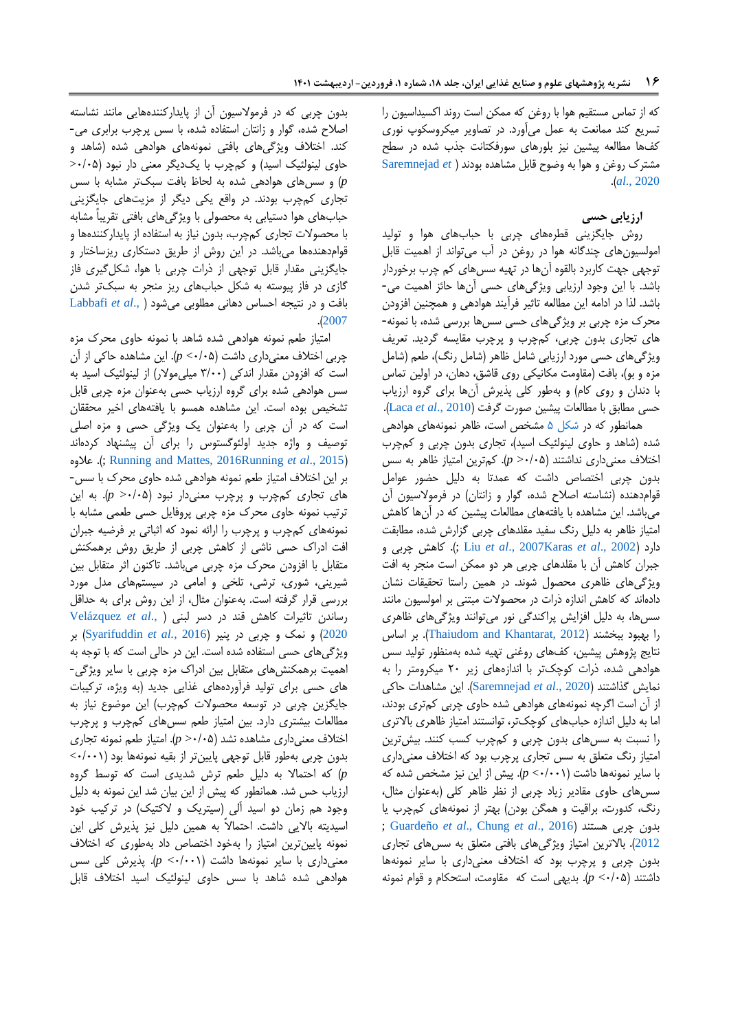که از تماس مستقیم هوا با روغن که ممکن است روند اکسیداسیون را تسریع کند ممانعت به عمل میآورد. در تصاویر میکروسکوپ نوری کفها مطالعه پیشین نیز بلورهای سورفکتانت جذب شده در سطح مشترک روغن و هوا به وضوح قابل مشاهده بودند [\)](#page-18-5) *et* [Saremnejad](#page-18-5) .)*al*[., 2020](#page-18-5)

### **ارزیابی حسی**

روش جایگزینی قطرههای چربی با حبابهای هوا و تولید امولسیونهای چندگانه هوا در روغن در آب میتواند از اهمیت قابل توجهی جهت کاربرد بالقوه آنها در تهیه سسهای کم چرب برخوردار باشد. با این وجود ارزیابی ویژگیهای حسی آنها حائز اهمیت می- باشد. لذا در ادامه این مطالعه تاثیر فرآیند هوادهی و همچنین افزودن محرک مزه چربی بر ویژگیهای حسی سسها بررسی شده، با نمونه- های تجاری بدون چربی، کمچرب و پرچرب مقایسه گردید. تعریف ویژگیهای حسی مورد ارزیابی شامل ظاهر (شامل رنگ)، طعم (شامل مزه و بو)، بافت (مقاومت مکانیکی روی قاشق، دهان، در اولین تماس با دندان و روی کام( و بهطور کلی پذیرش آنها برای گروه ارزیاب حسی مطابق با مطالعات پیشین صورت گرفت )[2010 .,](#page-18-13)*al et* Laca). همانطور که در [شکل](#page-16-3) 1 مشخص است، ظاهر نمونههای هوادهی

<span id="page-15-0"></span>شده (شاهد و حاوی لینولئیک اسید)، تجاری بدون چربی و کمچرب اختالف معنیداری نداشتند )1/11< *p*). کمترین امتیاز ظاهر به سس بدون چربی اختصاص داشت که عمدتا به دلیل حضور عوامل قوامدهنده (نشاسته اصلاح شده، گوار و زانتان) در فرمولاسیون آن میباشد. این مشاهده با یافتههای مطالعات پیشین که در آنها کاهش امتیاز ظاهر به دلیل رنگ سفید مقلدهای چربی گزارش شده، مطابقت و چربی کاهش . ;(Liu *et al*[., 2007K](#page-18-15)aras *et al*[., 2002](#page-18-14)( دارد جبران کاهش آن با مقلدهای چربی هر دو ممکن است منجر به افت ویژگیهای ظاهری محصول شوند. در همین راستا تحقیقات نشان دادهاند که کاهش اندازه ذرات در محصوالت مبتنی بر امولسیون مانند سسها، به دلیل افزایش پراکندگی نور میتوانند ویژگیهای ظاهری را بهبود ببخشند (Thaiudom and Khantarat, 2012). بر اساس نتایج پژوهش پیشین، کفهای روغنی تهیه شده بهمنظور تولید سس هوادهی شده، ذرات کوچکتر با اندازههای زیر 21 میکرومتر را به نمایش گذاشتند )2020 .,*al et* [Saremnejad](#page-18-5)). این مشاهدات حاکی از آن است اگرچه نمونههای هوادهی شده حاوی چربی کمتری بودند، اما به دلیل اندازه حبابهای کوچکتر، توانستند امتیاز ظاهری باالتری را نسبت به سسهای بدون چربی و کمچرب کسب کنند. بیشترین امتیاز رنگ متعلق به سس تجاری پرچرب بود که اختالف معنیداری با سایر نمونهها داشت )1/111> *p*). پیش از این نیز مشخص شده که سسهای حاوی مقادیر زیاد چربی از نظر ظاهر کلی )بهعنوان مثال، رنگ، کدورت، براقیت و همگن بودن) بهتر از نمونههای کمچرب یا ; [Guardeño](#page-19-9) *et al*., [Chung](#page-17-20) *et al*., 2016( هستند چربی بدون [2012](#page-19-9)(. باالترین امتیاز ویژگیهای بافتی متعلق به سسهای تجاری بدون چربی و پرچرب بود که اختالف معنیداری با سایر نمونهها داشتند )1/11> *p*). بدیهی است که مقاومت، استحکام و قوام نمونه

بدون چربی که در فرموالسیون آن از پایدارکنندههایی مانند نشاسته اصالح شده، گوار و زانتان استفاده شده، با سس پرچرب برابری می- کند. اختالف ویژگیهای بافتی نمونههای هوادهی شده )شاهد و حاوی لینولئیک اسید) و کمچرب با یکدیگر معنی دار نبود (201⁄2 *p* )و سسهای هوادهی شده به لحاظ بافت سبکتر مشابه با سس تجاری کمچرب بودند. در واقع یکی دیگر از مزیتهای جایگزینی حبابهای هوا دستیابی به محصولی با ویژگیهای بافتی تقریباً مشابه با محصوالت تجاری کمچرب، بدون نیاز به استفاده از پایدارکنندهها و قوامدهندهها میباشد. در این روش از طریق دستکاری ریزساختار و جایگزینی مقدار قابل توجهی از ذرات چربی با هوا، شکلگیری فاز گازی در فاز پیوسته به شکل حبابهای ریز منجر به سبکتر شدن بافت و در نتیجه احساس دهانی مطلوبی میشود [\)](#page-18-16) .,*al et* [Labbafi](#page-18-16) .)[2007](#page-18-16)

امتیاز طعم نمونه هوادهی شده شاهد با نمونه حاوی محرک مزه چربی اختالف معنیداری داشت )1/11> *p*). این مشاهده حاکی از آن است که افزودن مقدار اندکی )0/11 میلیموالر( از لینولئیک اسید به سس هوادهی شده برای گروه ارزیاب حسی بهعنوان مزه چربی قابل تشخیص بوده است. این مشاهده همسو با یافتههای اخیر محققان است که در آن چربی را بهعنوان یک ویژگی حسی و مزه اصلی توصیف و واژه جدید اولئوگستوس را برای آن پیشنهاد کردهاند عالوه . ;([Running and Mattes, 2016](#page-18-17)[Running](#page-18-9) *et al*., 2015( بر این اختالف امتیاز طعم نمونه هوادهی شده حاوی محرک با سس- های تجاری کمچرب و پرچرب معنیدار نبود )1/11< *p*). به این ترتیب نمونه حاوی محرک مزه چربی پروفایل حسی طعمی مشابه با نمونههای کمچرب و پرچرب را ارائه نمود که اثباتی بر فرضیه جبران افت ادراک حسی ناشی از کاهش چربی از طریق روش برهمکنش متقابل با افزودن محرک مزه چربی میباشد. تاکنون اثر متقابل بین شیرینی، شوری، ترشی، تلخی و امامی در سیستمهای مدل مورد بررسی قرار گرفته است. بهعنوان مثال، از این روش برای به حداقل رساندن تاثیرات کاهش قند در دسر لبنی [\)](#page-19-10) .,*al et* [Velázquez](#page-19-10) [2020](#page-19-10)( و نمک و چربی در پنیر )2016 *.*,*al et* [Syarifuddin](#page-15-0) )بر ویژگیهای حسی استفاده شده است. این در حالی است که با توجه به اهمیت برهمکنشهای متقابل بین ادراک مزه چربی با سایر ویژگی- های حسی برای تولید فرآوردههای غذایی جدید )به ویژه، ترکیبات جایگزین چربی در توسعه محصوالت کمچرب( این موضوع نیاز به مطالعات بیشتری دارد. بین امتیاز طعم سسهای کمچرب و پرچرب اختالف معنیداری مشاهده نشد )1/11< *p*). امتیاز طعم نمونه تجاری بدون چربی بهطور قابل توجهی پایینتر از بقیه نمونهها بود )1/111> *p* )که احتماال به دلیل طعم ترش شدیدی است که توسط گروه ارزیاب حس شد. همانطور که پیش از این بیان شد این نمونه به دلیل وجود هم زمان دو اسید آلی (سیتریک و لاکتیک) در ترکیب خود اسیدیته باالیی داشت. احتماالً به همین دلیل نیز پذیرش کلی این نمونه پایینترین امتیاز را بهخود اختصاص داد بهطوری که اختالف معنیداری با سایر نمونهها داشت )1/111> *p*). پذیرش کلی سس هوادهی شده شاهد با سس حاوی لینولئیک اسید اختالف قابل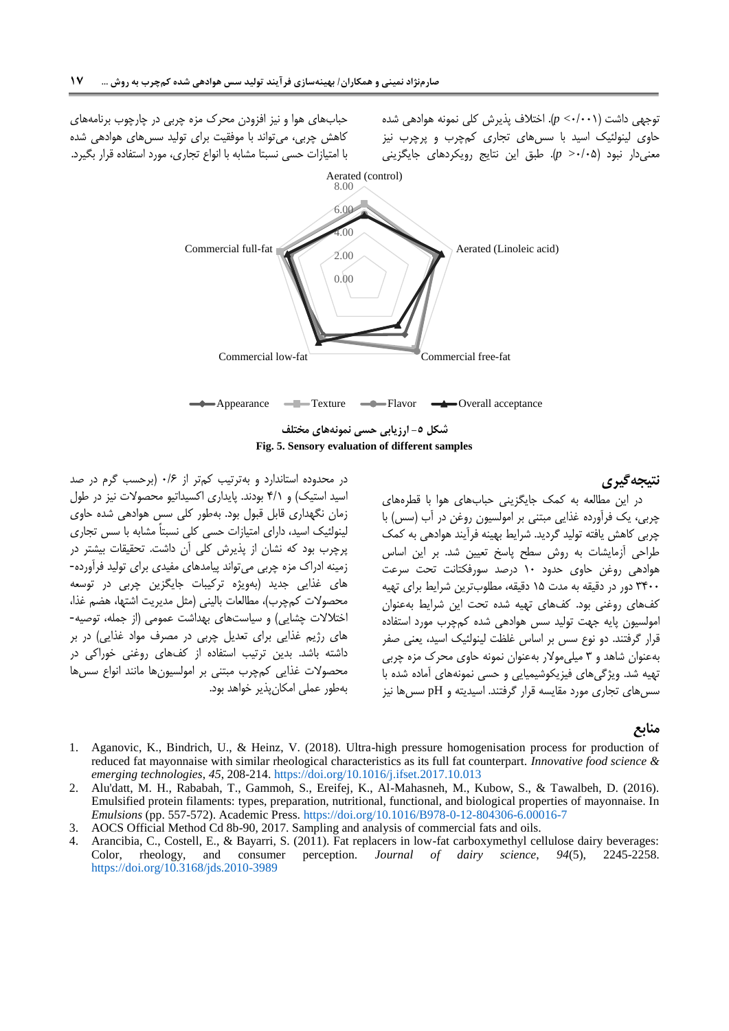توجهی داشت )1/111> *p*). اختالف پذیرش کلی نمونه هوادهی شده حاوی لینولئیک اسید با سسهای تجاری کمچرب و پرچرب نیز معنیدار نبود )1/11< *p*). طبق این نتایج رویکردهای جایگزینی

حبابهای هوا و نیز افزودن محرک مزه چربی در چارچوب برنامههای کاهش چربی، میتواند با موفقیت برای تولید سسهای هوادهی شده با امتیازات حسی نسبتا مشابه با انواع تجاری، مورد استفاده قرار بگیرد.



### **نتیجهگیری**

<span id="page-16-3"></span>در این مطالعه به کمک جایگزینی حبابهای هوا با قطرههای چربی، یک فرآورده غذایی مبتنی بر امولسیون روغن در آب )سس( با چربی کاهش یافته تولید گردید. شرایط بهینه فرآیند هوادهی به کمک طراحی آزمایشات به روش سطح پاسخ تعیین شد. بر این اساس هوادهی روغن حاوی حدود 11 درصد سورفکتانت تحت سرعت 0011 دور در دقیقه به مدت 11 دقیقه، مطلوبترین شرایط برای تهیه کفهای روغنی بود. کفهای تهیه شده تحت این شرایط بهعنوان امولسیون پایه جهت تولید سس هوادهی شده کمچرب مورد استفاده قرار گرفتند. دو نوع سس بر اساس غلظت لینولئیک اسید، یعنی صفر بهعنوان شاهد و 0 میلیموالر بهعنوان نمونه حاوی محرک مزه چربی تهیه شد. ویژگیهای فیزیکوشیمیایی و حسی نمونههای آماده شده با سسهای تجاری مورد مقایسه قرار گرفتند. اسیدیته و pH سسها نیز

**منابع**

- <span id="page-16-1"></span>1. Aganovic, K., Bindrich, U., & Heinz, V. (2018). Ultra-high pressure homogenisation process for production of reduced fat mayonnaise with similar rheological characteristics as its full fat counterpart. *Innovative food science & emerging technologies*, *45*, 208-214. <https://doi.org/10.1016/j.ifset.2017.10.013>
- <span id="page-16-2"></span>2. Alu'datt, M. H., Rababah, T., Gammoh, S., Ereifej, K., Al-Mahasneh, M., Kubow, S., & Tawalbeh, D. (2016). Emulsified protein filaments: types, preparation, nutritional, functional, and biological properties of mayonnaise. In *Emulsions* (pp. 557-572). Academic Press. <https://doi.org/10.1016/B978-0-12-804306-6.00016-7>
- 3. AOCS Official Method Cd 8b-90, 2017. Sampling and analysis of commercial fats and oils.
- <span id="page-16-0"></span>4. Arancibia, C., Costell, E., & Bayarri, S. (2011). Fat replacers in low-fat carboxymethyl cellulose dairy beverages: Color, rheology, and consumer perception. *Journal of dairy science*, *94*(5), 2245-2258. <https://doi.org/10.3168/jds.2010-3989>

در محدوده استاندارد و بهترتیب کمتر از 1/8 )برحسب گرم در صد اسید استیک) و ۴/۱ بودند. پایداری اکسیداتیو محصولات نیز در طول زمان نگهداری قابل قبول بود. بهطور کلی سس هوادهی شده حاوی لینولئیک اسید، دارای امتیازات حسی کلی نسبتاً مشابه با سس تجاری پرچرب بود که نشان از پذیرش کلی آن داشت. تحقیقات بیشتر در زمینه ادراک مزه چربی میتواند پیامدهای مفیدی برای تولید فرآورده- های غذایی جدید )بهویژه ترکیبات جایگزین چربی در توسعه محصولات کمچرب)، مطالعات بالینی (مثل مدیریت اشتها، هضم غذا، اختلالات چشایی) و سیاستهای بهداشت عمومی (از جمله، توصیه-های رژیم غذایی برای تعدیل چربی در مصرف مواد غذایی) در بر داشته باشد. بدین ترتیب استفاده از کفهای روغنی خوراکی در محصوالت غذایی کمچرب مبتنی بر امولسیونها مانند انواع سسها بهطور عملی امکانپذیر خواهد بود.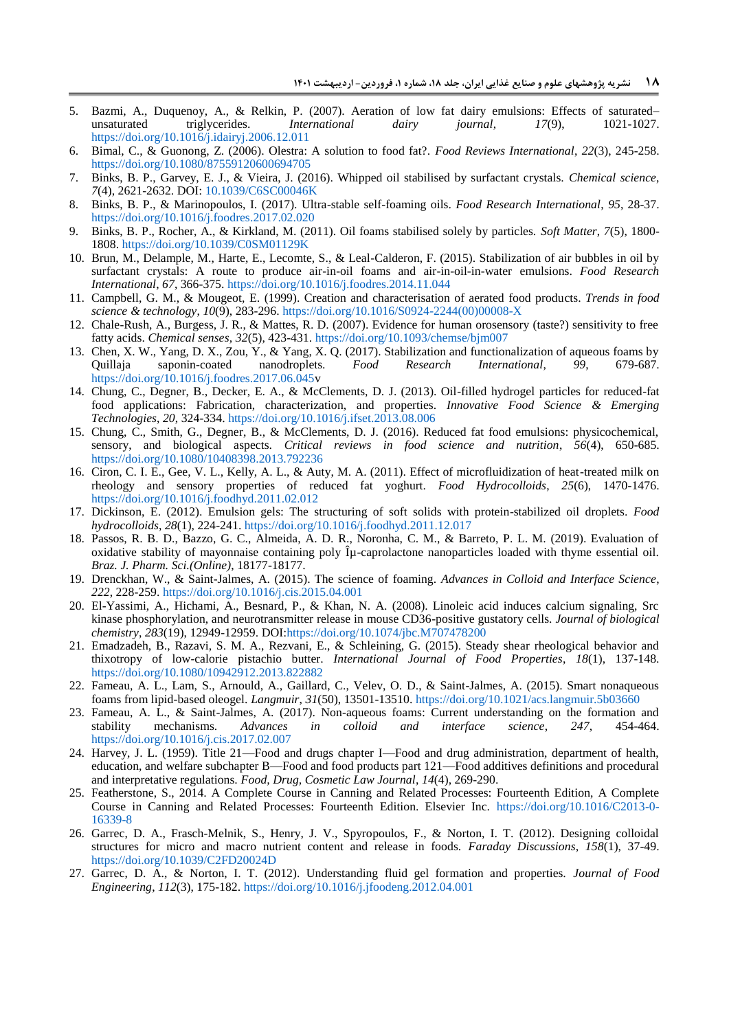- <span id="page-17-3"></span>5. Bazmi, A., Duquenoy, A., & Relkin, P. (2007). Aeration of low fat dairy emulsions: Effects of saturated– unsaturated triglycerides. *International dairy journal*, *17*(9), 1021-1027. <https://doi.org/10.1016/j.idairyj.2006.12.011>
- <span id="page-17-2"></span>6. Bimal, C., & Guonong, Z. (2006). Olestra: A solution to food fat?. *Food Reviews International*, *22*(3), 245-258. <https://doi.org/10.1080/87559120600694705>
- <span id="page-17-9"></span>7. Binks, B. P., Garvey, E. J., & Vieira, J. (2016). Whipped oil stabilised by surfactant crystals. *Chemical science*, *7*(4), 2621-2632. DOI: [10.1039/C6SC00046K](https://doi.org/10.1039/C6SC00046K)
- <span id="page-17-14"></span>8. Binks, B. P., & Marinopoulos, I. (2017). Ultra-stable self-foaming oils. *Food Research International*, *95*, 28-37. <https://doi.org/10.1016/j.foodres.2017.02.020>
- <span id="page-17-16"></span>9. Binks, B. P., Rocher, A., & Kirkland, M. (2011). Oil foams stabilised solely by particles. *Soft Matter*, *7*(5), 1800- 1808[. https://doi.org/10.1039/C0SM01129K](https://doi.org/10.1039/C0SM01129K)
- 10. Brun, M., Delample, M., Harte, E., Lecomte, S., & Leal-Calderon, F. (2015). Stabilization of air bubbles in oil by surfactant crystals: A route to produce air-in-oil foams and air-in-oil-in-water emulsions. *Food Research International*, *67*, 366-375. <https://doi.org/10.1016/j.foodres.2014.11.044>
- <span id="page-17-17"></span>11. Campbell, G. M., & Mougeot, E. (1999). Creation and characterisation of aerated food products. *Trends in food science & technology*, *10*(9), 283-296. [https://doi.org/10.1016/S0924-2244\(00\)00008-X](https://doi.org/10.1016/S0924-2244(00)00008-X)
- <span id="page-17-13"></span>12. Chale-Rush, A., Burgess, J. R., & Mattes, R. D. (2007). Evidence for human orosensory (taste?) sensitivity to free fatty acids. *Chemical senses*, *32*(5), 423-431. <https://doi.org/10.1093/chemse/bjm007>
- <span id="page-17-0"></span>13. Chen, X. W., Yang, D. X., Zou, Y., & Yang, X. Q. (2017). Stabilization and functionalization of aqueous foams by Quillaja saponin-coated nanodroplets. *Food Research International*, *99*, 679-687. [https://doi.org/10.1016/j.foodres.2017.06.045v](https://doi.org/10.1016/j.foodres.2017.06.045)
- <span id="page-17-1"></span>14. Chung, C., Degner, B., Decker, E. A., & McClements, D. J. (2013). Oil-filled hydrogel particles for reduced-fat food applications: Fabrication, characterization, and properties. *Innovative Food Science & Emerging Technologies*, *20*, 324-334. <https://doi.org/10.1016/j.ifset.2013.08.006>
- <span id="page-17-20"></span>15. Chung, C., Smith, G., Degner, B., & McClements, D. J. (2016). Reduced fat food emulsions: physicochemical, sensory, and biological aspects. *Critical reviews in food science and nutrition*, *56*(4), 650-685. <https://doi.org/10.1080/10408398.2013.792236>
- <span id="page-17-5"></span>16. Ciron, C. I. E., Gee, V. L., Kelly, A. L., & Auty, M. A. (2011). Effect of microfluidization of heat-treated milk on rheology and sensory properties of reduced fat yoghurt. *Food Hydrocolloids*, *25*(6), 1470-1476. <https://doi.org/10.1016/j.foodhyd.2011.02.012>
- <span id="page-17-8"></span>17. Dickinson, E. (2012). Emulsion gels: The structuring of soft solids with protein-stabilized oil droplets. *Food hydrocolloids*, *28*(1), 224-241. <https://doi.org/10.1016/j.foodhyd.2011.12.017>
- <span id="page-17-15"></span>18. Passos, R. B. D., Bazzo, G. C., Almeida, A. D. R., Noronha, C. M., & Barreto, P. L. M. (2019). Evaluation of oxidative stability of mayonnaise containing poly  $\hat{\mu}$ -caprolactone nanoparticles loaded with thyme essential oil. *Braz. J. Pharm. Sci.(Online)*, 18177-18177.
- <span id="page-17-18"></span>19. Drenckhan, W., & Saint-Jalmes, A. (2015). The science of foaming. *Advances in Colloid and Interface Science*, *222*, 228-259. <https://doi.org/10.1016/j.cis.2015.04.001>
- <span id="page-17-12"></span>20. El-Yassimi, A., Hichami, A., Besnard, P., & Khan, N. A. (2008). Linoleic acid induces calcium signaling, Src kinase phosphorylation, and neurotransmitter release in mouse CD36-positive gustatory cells. *Journal of biological chemistry*, *283*(19), 12949-12959. DOI[:https://doi.org/10.1074/jbc.M707478200](https://doi.org/10.1074/jbc.M707478200)
- <span id="page-17-4"></span>21. Emadzadeh, B., Razavi, S. M. A., Rezvani, E., & Schleining, G. (2015). Steady shear rheological behavior and thixotropy of low-calorie pistachio butter. *International Journal of Food Properties*, *18*(1), 137-148. <https://doi.org/10.1080/10942912.2013.822882>
- <span id="page-17-10"></span>22. Fameau, A. L., Lam, S., Arnould, A., Gaillard, C., Velev, O. D., & Saint-Jalmes, A. (2015). Smart nonaqueous foams from lipid-based oleogel. *Langmuir*, *31*(50), 13501-13510. <https://doi.org/10.1021/acs.langmuir.5b03660>
- <span id="page-17-11"></span>23. Fameau, A. L., & Saint-Jalmes, A. (2017). Non-aqueous foams: Current understanding on the formation and stability mechanisms. Advances in colloid and interface science. 247. 454-464. stability mechanisms. *Advances in colloid and interface science*, 247, <https://doi.org/10.1016/j.cis.2017.02.007>
- 24. Harvey, J. L. (1959). Title 21—Food and drugs chapter I—Food and drug administration, department of health, education, and welfare subchapter B—Food and food products part 121—Food additives definitions and procedural and interpretative regulations. *Food, Drug, Cosmetic Law Journal*, *14*(4), 269-290.
- <span id="page-17-19"></span>25. Featherstone, S., 2014. A Complete Course in Canning and Related Processes: Fourteenth Edition, A Complete Course in Canning and Related Processes: Fourteenth Edition. Elsevier Inc. [https://doi.org/10.1016/C2013-0-](https://doi.org/10.1016/C2013-0-16339-8) [16339-8](https://doi.org/10.1016/C2013-0-16339-8)
- <span id="page-17-6"></span>26. Garrec, D. A., Frasch-Melnik, S., Henry, J. V., Spyropoulos, F., & Norton, I. T. (2012). Designing colloidal structures for micro and macro nutrient content and release in foods. *Faraday Discussions*, *158*(1), 37-49. <https://doi.org/10.1039/C2FD20024D>
- <span id="page-17-7"></span>27. Garrec, D. A., & Norton, I. T. (2012). Understanding fluid gel formation and properties. *Journal of Food Engineering*, *112*(3), 175-182. <https://doi.org/10.1016/j.jfoodeng.2012.04.001>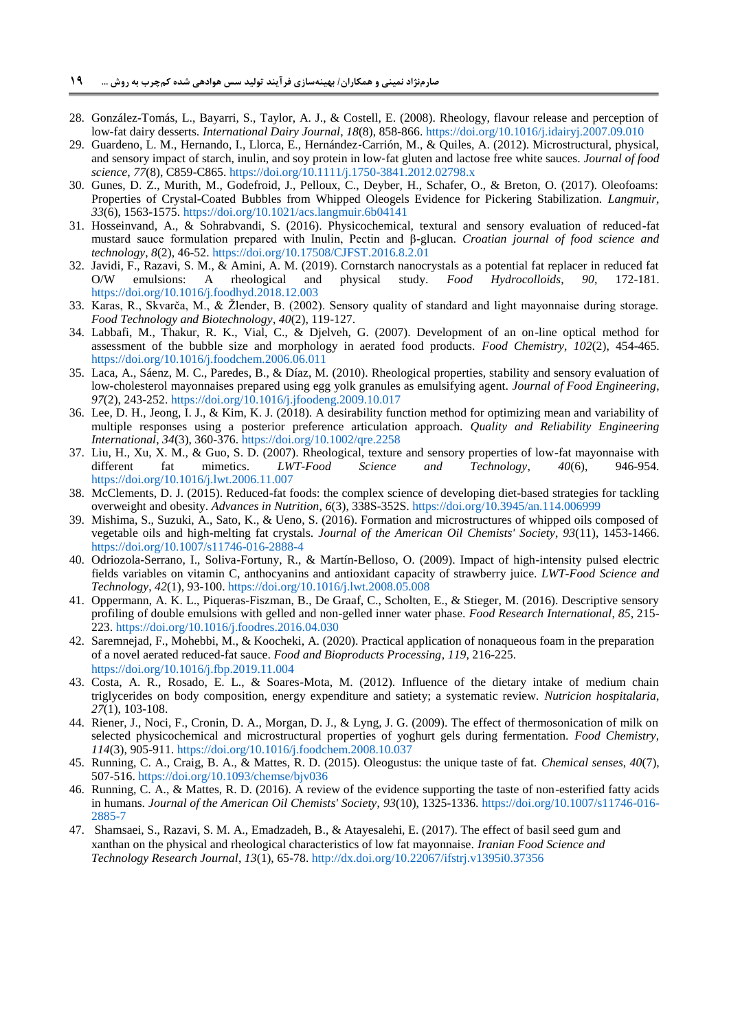- <span id="page-18-8"></span>28. González-Tomás, L., Bayarri, S., Taylor, A. J., & Costell, E. (2008). Rheology, flavour release and perception of low-fat dairy desserts. *International Dairy Journal*, *18*(8), 858-866. <https://doi.org/10.1016/j.idairyj.2007.09.010>
- 29. Guardeno, L. M., Hernando, I., Llorca, E., Hernández‐Carrión, M., & Quiles, A. (2012). Microstructural, physical, and sensory impact of starch, inulin, and soy protein in low‐fat gluten and lactose free white sauces. *Journal of food science*, *77*(8), C859-C865. <https://doi.org/10.1111/j.1750-3841.2012.02798.x>
- <span id="page-18-6"></span>30. Gunes, D. Z., Murith, M., Godefroid, J., Pelloux, C., Deyber, H., Schafer, O., & Breton, O. (2017). Oleofoams: Properties of Crystal-Coated Bubbles from Whipped Oleogels Evidence for Pickering Stabilization. *Langmuir*, *33*(6), 1563-1575. <https://doi.org/10.1021/acs.langmuir.6b04141>
- <span id="page-18-12"></span>31. Hosseinvand, A., & Sohrabvandi, S. (2016). Physicochemical, textural and sensory evaluation of reduced-fat mustard sauce formulation prepared with Inulin, Pectin and β-glucan. *Croatian journal of food science and technology*, *8*(2), 46-52. <https://doi.org/10.17508/CJFST.2016.8.2.01>
- <span id="page-18-1"></span>32. Javidi, F., Razavi, S. M., & Amini, A. M. (2019). Cornstarch nanocrystals as a potential fat replacer in reduced fat O/W emulsions: A rheological and physical study. *Food Hydrocolloids*, *90*, 172-181. <https://doi.org/10.1016/j.foodhyd.2018.12.003>
- <span id="page-18-14"></span>33. Karas, R., Skvarča, M., & Žlender, B. (2002). Sensory quality of standard and light mayonnaise during storage. *Food Technology and Biotechnology*, *40*(2), 119-127.
- <span id="page-18-16"></span>34. Labbafi, M., Thakur, R. K., Vial, C., & Djelveh, G. (2007). Development of an on-line optical method for assessment of the bubble size and morphology in aerated food products. *Food Chemistry*, *102*(2), 454-465. <https://doi.org/10.1016/j.foodchem.2006.06.011>
- <span id="page-18-13"></span>35. Laca, A., Sáenz, M. C., Paredes, B., & Díaz, M. (2010). Rheological properties, stability and sensory evaluation of low-cholesterol mayonnaises prepared using egg yolk granules as emulsifying agent. *Journal of Food Engineering*, *97*(2), 243-252. <https://doi.org/10.1016/j.jfoodeng.2009.10.017>
- <span id="page-18-11"></span>36. Lee, D. H., Jeong, I. J., & Kim, K. J. (2018). A desirability function method for optimizing mean and variability of multiple responses using a posterior preference articulation approach. *Quality and Reliability Engineering International*, *34*(3), 360-376. <https://doi.org/10.1002/qre.2258>
- <span id="page-18-15"></span>37. Liu, H., Xu, X. M., & Guo, S. D. (2007). Rheological, texture and sensory properties of low-fat mayonnaise with different fat mimetics. *LWT-Food Science and Technology*, *40*(6), 946-954. <https://doi.org/10.1016/j.lwt.2006.11.007>
- <span id="page-18-0"></span>38. McClements, D. J. (2015). Reduced-fat foods: the complex science of developing diet-based strategies for tackling overweight and obesity. *Advances in Nutrition*, *6*(3), 338S-352S. <https://doi.org/10.3945/an.114.006999>
- <span id="page-18-7"></span>39. Mishima, S., Suzuki, A., Sato, K., & Ueno, S. (2016). Formation and microstructures of whipped oils composed of vegetable oils and high-melting fat crystals. *Journal of the American Oil Chemists' Society*, *93*(11), 1453-1466. <https://doi.org/10.1007/s11746-016-2888-4>
- <span id="page-18-10"></span>40. Odriozola-Serrano, I., Soliva-Fortuny, R., & Martín-Belloso, O. (2009). Impact of high-intensity pulsed electric fields variables on vitamin C, anthocyanins and antioxidant capacity of strawberry juice. *LWT-Food Science and Technology*, *42*(1), 93-100. <https://doi.org/10.1016/j.lwt.2008.05.008>
- <span id="page-18-4"></span>41. Oppermann, A. K. L., Piqueras-Fiszman, B., De Graaf, C., Scholten, E., & Stieger, M. (2016). Descriptive sensory profiling of double emulsions with gelled and non-gelled inner water phase. *Food Research International*, *85*, 215- 223. <https://doi.org/10.1016/j.foodres.2016.04.030>
- <span id="page-18-5"></span>42. Saremnejad, F., Mohebbi, M., & Koocheki, A. (2020). Practical application of nonaqueous foam in the preparation of a novel aerated reduced-fat sauce. *Food and Bioproducts Processing*, *119*, 216-225. <https://doi.org/10.1016/j.fbp.2019.11.004>
- <span id="page-18-2"></span>43. Costa, A. R., Rosado, E. L., & Soares-Mota, M. (2012). Influence of the dietary intake of medium chain triglycerides on body composition, energy expenditure and satiety; a systematic review. *Nutricion hospitalaria*, *27*(1), 103-108.
- <span id="page-18-3"></span>44. Riener, J., Noci, F., Cronin, D. A., Morgan, D. J., & Lyng, J. G. (2009). The effect of thermosonication of milk on selected physicochemical and microstructural properties of yoghurt gels during fermentation. *Food Chemistry*, *114*(3), 905-911. <https://doi.org/10.1016/j.foodchem.2008.10.037>
- <span id="page-18-9"></span>45. Running, C. A., Craig, B. A., & Mattes, R. D. (2015). Oleogustus: the unique taste of fat. *Chemical senses*, *40*(7), 507-516. <https://doi.org/10.1093/chemse/bjv036>
- <span id="page-18-17"></span>46. Running, C. A., & Mattes, R. D. (2016). A review of the evidence supporting the taste of non-esterified fatty acids in humans. *Journal of the American Oil Chemists' Society*, *93*(10), 1325-1336. [https://doi.org/10.1007/s11746-016-](https://doi.org/10.1007/s11746-016-2885-7) [2885-7](https://doi.org/10.1007/s11746-016-2885-7)
- 47. Shamsaei, S., Razavi, S. M. A., Emadzadeh, B., & Atayesalehi, E. (2017). The effect of basil seed gum and xanthan on the physical and rheological characteristics of low fat mayonnaise. *Iranian Food Science and Technology Research Journal*, *13*(1), 65-78. [http://dx.doi.org/10.22067/ifstrj.v1395i0.37356](https://dx.doi.org/10.22067/ifstrj.v1395i0.37356)